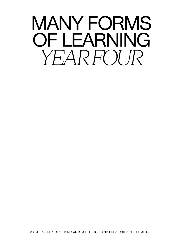# MANY FORMS OF LEARNING *YEAR FOUR*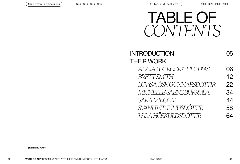

| <b>INTRODUCTION</b>              |    |
|----------------------------------|----|
| <b>THEIR WORK</b>                |    |
| ALICIA LUZRODRÍGUEZ DÍAS         | 06 |
| BRETTSMITH                       | 12 |
| <b>I OVÍSA ÓSK GUNNARSDÓTTIR</b> | 22 |
| MICHELLE SAENZ BURROLA           | 34 |
| SARA MIKOLAI                     | 44 |
| SVANHVÍTJÚLÍUSDÓITIR             | 58 |
| VAI A HÖSKI II DSDÓTTIR          |    |

**LISTAHÁSKÓLI ÍSLANDS**<br>Iceland University of the Arts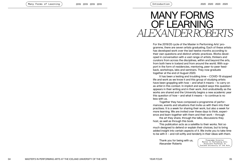# MANY FORMS OF LEARNING *ALEXANDER ROBERTS*

Introduction

For the 2019/20 cycle of the Master in Performing Arts' pro gramme, there are seven artists graduating. Each of these artists has developed work over the last twelve months according to their own questions and distinct artistic practices. Works devel oped in conversation with a vast range of artists, thinkers and curators from across the disciplines, within and beyond the arts, from both here in Iceland and from around the world. With sup port in the form of residencies, mentoring, peer-to-peer feed back, workshops, labs and seminars. They now graduate together at the end of August 2020.

It has been a testing and troubling time – COVID-19 stopped life and work as we know it and this group of studying artists have been grappling with how – and what it means – to carry on as artist in this context. In implicit and explicit ways this question appears in their writing and in their work. And undoubtedly as the works are shared and the University begins a new academic year this question of how – and what it means – to continue is no less with us.

Together they have composed a programme of perfor mances, events and situations that invite us with them into their practises. It is a week for sharing their work, but also a week for more learning. We are invited over these days to think, experi ence and learn together with them and their work – through

the art they share, through the talks, discussions they host, as well as through this book.

This publication acts as a satellite to their works. Not so much designed to defend or explain their choices, but to bring added insight into certain aspects of it. We invite you to take time to be with it – and roll softly and tenderly in their ideas with them.

Thank you for being with us, Alexander Roberts

Programme Director Master in Performing Arts Associate Professor at Iceland University of the Arts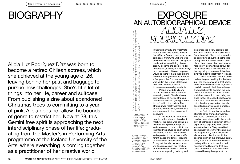# BIOGRAPHY

Alicia Luz Rodríguez Díaz was born to become a retired Chilean actress, which she achieved at the young age of 26, leaving behind her past and baggage to pursue new challenges. She's fit a lot of things into her life, career and suitcase. From publishing a zine about abandoned Christmas trees to committing to a year of pink, Alicia does not allow the bounds of genre to restrict her. Now at 28, this Gemini free spirit is approaching the next interdisciplinary phase of her life: graduating from the Master's in Performing Arts programme at the Iceland University of the Arts, where everything is coming together as a practitioner of her creative world.

# EXPOSURE AN AUTOBIOGRAPHICAL DEVICE *ALICIA LUZ RODRÍGUEZ DÍAZ*  "USUALLY, IF A PART OF MY LIFE IS CONSIDERED 'TOO PERSONAL' TO SHARE, PART OF MY LIFE IS CONSIDERED 'TOO PERSONAL' TO SHARE,<br>K ABOUT WHY THAT SPECIFIC PART HAS TO BE KEPT SECRET<br>JT SECRECY IS PROTECTING". — AUDREY WOLLEN' I TRY TO THINK ABOUT WHY THAT SPECIFIC PART HAS TO BE KEPT SECRET AND WHO THAT SECRECY IS PROTECTING". — AUDREY WOLLEN1

In September 1925, the first Photomaton Studio was opened in New York City by Anatol Josepho, a young enthusiast from Omsk, Siberia who dedicated his life to invent this special machine that would bring photography closer to the people. And it certainly did, it brought crowds everyday, people with different purposes would go there to have their picture taken for twenty-five cents. After just a few years, the Photomaton patent was sold in the United States, and later on to Europe, it started to become more widely available.

People would do all sorts of stuff inside the booth, such as squeezing in with friends, kissing, pulling faces, as well as stripping off their clothes and getting 'adventurous' behind the curtain. The stripping was mostly women and after a few complaints, the curtains were removed to discourage such behaviors.

In the year 2018 I had an encounter with a vintage photo booth machine; this cabin was calling me in somehow. I paid for the photo and there was no time to think how I wanted this picture to be. I flashed. I wanted to and felt free to do so and repeated this as a task at different places and times. I thought of it as a small performance, mostly for myself, but also for anyone who would stumble upon this machine at the time I was inside. It became a space for exploring my body and

also produced a very beautiful collection of photos. As journalist Näkki Goranin puts it: "there just seemed to be something about the booths that brought out the exhibitionist in people, a phenomenon that continues to hold true."2 It certainly holds true for me at least. This short story became the beginning of a research I've been involved in for the last year in Iceland.

There have been months of experimenting and seeking for the feeling I had two years ago in that booth. And since there is not a vintage photo booth in Iceland, I had the challenge and opportunity to abstract the experience and search for other formats and situations which could bring me close to that photobooth reality. After some time I realized this research is not only a body exploration, but also about finding a voice and a practice as an artist and practitioner.

At first, I thought of an archive of photo strips from other women who could have access to photo booths. I was interested in the possibility of gathering a collection of their experiences exploring their bodies inside the booths. They would find booths near where they live and mail the images to my home in Iceland. My personal collection would then become a part of this archive. I learnt, sadly, that one of the women collaborating with me on this action had been harassed by a man that was close to the booth. She felt so empowered having the agency to be

1. Ava Tunnicliffe, "Audrey Wollen On The Power of Sadness," Nylon (Nylon, July 20, 2015), https://www. nylon.com/articles/ audrey-wollen-sadgirl-theory.

2. Näkki Goranin, "The History of the Photobooth," The Telegraph (Telegraph Media Group, March 7, 2008), https:// www.telegraph. co.uk/culture/ donotmigrate/3671736/ The-history-of-thephotobooth.html.

"USUALLY, IF A PAI<br>I TRY TO THINK A<br>AND WHO THAT S

06 MASTER'S IN PERFORMING ARTS AT THE ICELAND UNIVERSITY OF THE ARTS WAS CONSUMING AND A LOCAL THE ARTS OF THE ARTS OF THE ARTS OF THE ARTS OF THE ARTS OF THE ARTS OF THE ARTS OF THE ARTS OF THE ARTS OF THE ARTS OF THE ART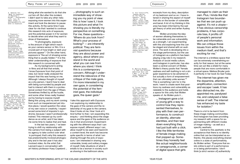3. Spencer Cox, "What Is Exposure? (A Beginner's Guide)," Photography Life, July 19, 2019, https:// photographylife.com/ what-is-exposure.

4."Exposure," exposure noun - Definition, pictures, pronunciation and usage notes | Oxford Advanced Learner Dictionary at OxfordLearners Dictionaries.com, accessed June 16, 2020, https://www. oxfordlearnersdict ionaries.com/ definition/english/ exposure?q=exposure.

5. Huey Copeland, "Photography, the Archive, and the Question of Feminist Form: A Conversation with Zoe Leonard," Camera Obscura: Feminism, Culture, and Media Studies 28, no. 2 (2013): pp. 177-189, https://doi.org/10.1215 /02705346-2209952, 178,

179.

doing what she wanted to do that she cut him off. But after this incident, I didn't want to take any other risks exposing more women into this experiment and took the decision to pause this activity. At the same time it was clear for me that I wanted to continue this research into acts of exposure, and the potential power in it for women to decide when and what they want to show of themselves.

"In photography, exposure is the amount of light which reaches your camera sensor or film. It is a crucial part of how bright or dark your pictures appear".3 On the other hand, exposure is "the act of showing something that is usually hidden."4 It is this latter understanding of exposure that this research is concerned with.

As my background is acting in films and all that that entails, I know *Exposure* from that point of view, but never really analyzed the impact that this was having on me. Although I always thought of myself as a shy person, I learnt how to deal with being surrounded by people and had to interact with them in a professional context from the age of fifteen. Sometimes thrilled by all the hustle, and some other times really freaked out by having to expose myself. Being this young, and my work coming from such an inexperienced yet intuitive place, I would question the value of my own voice or creativity. I experienced some kind of impostor's syndrome, because I wasn't professionally trained. This messed up my confidence as an artist, and it has taken me some time to realize that and heal.

In the last two years, I´ve been trying to shift my relationship with the camera from being a subject with no agency to take control over what is portrayed, that's why this research has predominantly involved photography and in the last year it has also involved video. As the artist Zoë Leonard says in conversation with art history professor Huey Copeland ...

... photography is such an immediate way of showing you my point of view: this is how I saw it, I took this picture and what I'm showing you is literally my perspective on something. For me, these questions— 'Where do you look from? What's your process of looking?' — are inherently political. They are feminist questions because they are about power and agency, about where you stand in the world and what you can see from where you stand. I think this is a contemporary concern. Although I understand the relevance of the critique of the male gaze, I'm more interested in my own gaze, in considering the potential of the feminist gaze, the individual gaze, the queer gaze.<sup>5</sup>

I take this approach with *Exposure*. I am exploring my relationship to the gaze of the camera and the relationship of my gaze to the camera. How it looks at me. How I look at it. And further to that, I am expanding this enquiry – and thinking about the stage space and the gaze of the audience on me in that environment. Experimenting with the different ways that I can expose myself, different ways I can allow myself to be seen and heard.On a content level, the work has become quite specific in terms of what I am sharing through the acts of exposure. I am interested in sharing very vulnerable, lonely and solitary images of myself. Daily situations of what it entails to be a woman in society such as shaving in the bathroom alone,

6. Ava Tunnicliffe, "Audrey Wollen On The Power of Sadness," Nylon (Nylon, July 20, 2015), https://www. nylon.com/articles/ audrey-wollen-sadgirl-theory.

7. Ava Tunnicliffe, "Audrey Wollen On The Power of Sadness," Nylon (Nylon, July 20, 2015), https://www. nylon.com/articles/ audrey-wollen-sadgirl-theory.

8. Melissa Broder, "'I Took the Internet Addiction Quiz and I Won,'" in *So Sad*<br>*Today* (Melbourne: Scribe, 2018).

9. Trisha Tongco, "Huffpost", Huffpost.Com, 2015, https://www.huffpost.com/entry/ audrey-wollen-the- -feminist-art-starstaging-a-revo-lution-on-instagram\_n\_5660 dddde4b079b2818e 0993?guccounter=1.

excerpts from my diary, description of my bedroom and so on. I have interest in sharing the aspect of myself that sits on the border of vulnerable and banal. A lot of my thinking in this area has been informed by the sad girl theory of artist and writer Audrey Wollen.

 Wollen promotes the idea of women allowing themselves to be vulnerable and use vulnerability as a strength. I am experimenting with this and exploring how this can be staged and shared with an audience. The work is developing into a live stage performance, but the use of Instagram as a platform has been playing a big role in my research. Analysis of social media culture, and Instagram in particular, has also been a central concern of Wollen. Wollen's theory posits that "female sadness and self-loathing is not a singular experience to be ashamed of, but actually a form of empowerment that can ultimately unite women."6 This is something I aim for in the work. I want to create work that positions my sadness and vulnerability as relatable to the audience and holds a space for this unity that Wollen speaks of. As Wollen puts it ...

... Instagram gave a lot of young girls a way to control how they represented themselves, to play with their own performance, to construct an identity, alternate identities, and then tear down everything they had just built with a click. I like the little territories of female image-making that popped up. Sometimes they honestly feel like actual neighborhoods or campgrounds, a corner of digital space that girls

managed to claim as their own. Plus, I kinda like that Instagram has boundaries that we can push up against. It's not a utopia it has obvious censorship problems, it has corporate bias, it profits off of people's personal work and information. We can critique those issues from within the medium itself, and that's exciting for me.<sup>7</sup>

The internet is a limitless space that can be extremely overwhelming exactly for that reason, but at the same time can act like a shield for many people that are more comfortable in a virtual space. Melissa Broder puts it perfectly in her book So Sad Today:

The internet has given me the dopamine, attention, amplification, connection and escape I seek. It has also distracted me, disappointed me, paralysed me, and catalysed a false sense of self. The internet has enhanced my taste for isolation.8

There is a lot to be learnt from these image-making communities. And Instagram has been providing my research with a space for experimenting with different modes of image-making – as well as a specific aesthetic.

Central to this aesthetic is the acceptance that there is no identity online that can be interpreted as authentic, this places everything shared online in a state of performativity. As Wollen writes: "Everyone that exists online is part of a performance or is being performative. I don't think [a strict version of] authenticity

08 MASTER'S IN PERFORMING ARTS AT THE ICELAND UNIVERSITY OF THE ARTS WEAR TOUR THE ARTS OP THE ARTS OP THE ARTS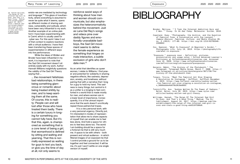10. Hannah Williams, "The Reign Of The Internet Sad Girl Is Over- And That's A Good Thing," Medium (The Establishment, August 24, 2017), https://medium.com/ the-establishment/ the-reign-of-theinternet-sad-girlis-over-and-thats-

a-good-thing-eb6316f590d9.

exists–we are mediated by technology and language."9 This glaze of inauthenticity, where everything is assumed to never be quite what it seems, opens up different modes of sharing sadness, vulnerability and solitude, which have been very influential to my work. Another example of an online platform I have been experimenting with is Cam4, which is usually used for cyber sex. For this work I take it out of that context to explore reactions with a virtual audience. I have then been transferring these spaces of experimentation in different ways into live performance.

While the ideas of Wollen and Broder have been influential in my work, it is important to note that the Sad Girl movement doesn't sit entirely easily with my work. Author Hannah Williams insightfully questions the validity of the Sad Girl Theory saying that ...

... the movement fetishizes bad relationships, in there being something glamorous or romantic about being treated shittily by men, and to keep wanting them all the same. Of course, this is reality: People can and will lust after those who have treated them badly. There is a certain luxury in longing for something you cannot fully have. But it's that this, again, is championed as something that is a core tenet of being a girl, that womanhood is defined by sitting and waiting and yearning. That this is normally expressed as waiting for guys to text you back, or give you the time of day at all, not only seems to

reinforce sexist ways of thinking about how men and women should communicate, but also emphasizes the heteronormativity behind the movement. Just as Lana Del Rey's songs and videos pine over daddy figures and emotionally-unavailable badboys, the Sad Girl movement seems to define the female experience as something that hinges on male interaction, a subtle exclusion of girls who don't date men.10

As an artist that identifies as queer woman, I relate to Williams. I find power and potential for solidarity in sharing negative effects, like sadness, depression, anxiety, and loneliness, without pairing that with a narrative that I long for a guy to hold my hand. This sadness is many things, but central to it as a unifier is a longing to feel comforted in a world that is made mostly for men, and where women are in a lower level of importance. Consequently, it is of the utmost importance that the work doesn't uncritically repeat those patriarchal tropes.

It is a very personal work, with a very personal urgency. Directly put, I'm interested in modes of representation that allow me to share aspects of myself that can enable me to feel less alone. And hold a space for others to feel less alone too. The world I am building should be a space for a fictional me that is still very much me. A space to be with others - both present and virtual audience - in which filtered images of an exposed me that I control provide a ground for us to be together and feel connected. It will be me, it's just I won't settle on one single version of myself.

# BIBLIOGRAPHY

Broder, Melissa. "'I Took the Internet Addiction Quiz and I Won.'" Essay. In So Sad Today. Melbourne: Scribe, 2018.

- Copeland, Huey. "Photography, the Archive, and the Question of Feminist Form: A Conversation with Zoe Leonard." Camera Obscura: Feminism, Culture, and Media Studies 28, no. 2 (2013): 177–89. https://doi.org/10.1215/02705346- 2209952.
- Cox, Spencer. "What Is Exposure? (A Beginner's Guide)." Photography Life, July 19, 2019. https://photographylife. com/what-is-exposure.
- "Exposure." exposure noun Definition, pictures, pronunciation and usage notes | Oxford Advanced Learner's Dictionary at OxfordLearnersDictionaries.com. Accessed June 16, 2020. https://www.oxfordlearnersdictionaries. com/definition/english/exposure?q=exposure.
- Goranin, Näkki. "The History of the Photobooth." The Telegraph. Telegraph Media Group, March 7, 2008. https:// www.telegraph.co.uk/culture/donotmigrate/3671736/Thehistory-of-the-photobooth.html.
- Tongco, Tricia. "Meet The Feminist Art Star Staging A Revolution On Instagram." HuffPost. HuffPost,December 4, 2015. https://www.huffpost.com/entry/audrey-wollen -the-feminist-art-star-staging-a-revolution-on-instagram\_ n\_5660dddde4b079b2818e0993.
- Tunnicliffe, Ava. "Audrey Wollen On The Power of Sadness." Nylon. Nylon, July 20, 2015. https://www.nylon.com/ articles/audrey-wollen-sad-girl-theory.
- Williams, Hannah. "The Reign Of The Internet Sad Girl Is Over- And That's A Good Thing." Medium. The Establishment, August 24, 2017. https://medium.com/theestablishment/the-reign-of-the-internet-sad-girl-isover-and-thats-a-good-thing-eb6316f590d9.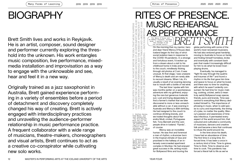the courage to be and become myself.

# BIOGRAPHY

Brett Smith lives and works in Reykjavík. He is an artist, composer, sound designer and performer currently exploring the threshold into the unknown. His work entangles music composition, live performance, mixedmedia installation and improvisation as a way to engage with the unknowable and see, hear and feel it in a new way.

Originally trained as a jazz saxophonist in Australia, Brett gained experience performing in a variety of ensembles before a period of detachment and discovery completely changed his way of creating. Brett is actively engaged with interdisciplinary practices and unravelling the audience-performer relationship in music performance practice. A frequent collaborator with a wide range of musicians, theatre-makers, choreographers and visual artists, Brett continues to act as a creative co-conspirator while cultivating new solo works.

### RITES OF PRESENCE.<br>
AS PERFORMANCE<br>
SECTION ANCE<br>
SECTION ANCE<br>
SECTION ANCE<br>
SECTION ANCE<br>
SECTION ANCE<br>
TRISPARE CORMANCE<br>
TRISPARE CORMANCE<br>
TRISPARE CORMANCE<br>
TRISPARE CORMANCE<br>
TRISPARE CORMANCE<br>
TRISPARE CORMANCE<br>
TR MUSIC REHEARSAL GENERATES AND THE SPEAKING THAT HAPPENS THROUGH AND AROUND IT, MAK-ING IT AND LOVING IT, BEING IN IT WHILE LISTENING. — JACK HALBERSTAM1 AS PERFORMANCE BER. *BRETT SMITH* For Wency D'Souza and **KHALI** Dr Robert Faulkner, without whom, I wouldn't have had

On the morning that my mentor, hero and dear friend Wency D'Souza died, Iceland began its first day of strict social isolation laws in response to the COVID-19 pandemic. In a strange and fortuitous event, I'd woken up from a dream about a visit to his childhood home in India and moved to the couch, mindlessly flicking through old photos at 3 am. It was unusual. At that stage, I was unaware of Wency's death and am rarely able to recount dreams. When I do, it's usually a result of an evening dancing toe to mouth with a bottle of red wine.

WHEN WE LISTEN TO MUSIC, WE MUST REFUSE THE IDEA THAT MUSIC HAPPENS ONLY WHEN THE MUSICIAN ENTERS AND PICKS UP AN INSTRUMENT; MUSIC IS ALSO THE ANTICIPATION OF THE PERFORMANCE AND THE NOISES OF APPRECIATION IT

NUST NTERS WEI

MUSIC,

POT

**LISTEN** THE

WHEN<sup>-</sup>

NHEN  $\gtrapprox$ 

**CNLY** 

**REFUSE** AND PIC

THE IDEA **JP AN**  JACI

LISTENING.

BEING IN IT WHILE

E,

AND LOVING

ING IT

AND THE SPEAKING

THE **SIC** 

ðF

PERFORMANCE AND<br>KING THAT HAPPENS

1. Stefano Harney, Fred Moten, and Jack Halberstam, "The Wild Beyond: With and for the Undercommons," in The Undercommons Fugitive Planning & Black Study (Wivenhoe, UK: Minor Compositions, 2013),

THE ANTICIPATION<br>GENERATES AND TI

2. Sinatra at the Sands with Count Basie and the Orchestra (Sands Hotel and Casino, Las Vegas, April

 $2 - 13, 9$ 

1966).

The last time I spoke with him was months earlier on a spontaneous adventure with my girlfriend, enjoying the rare but generous Icelandic sun. Lost and trying desperately to find a farmer's market that we later discovered is more or less unreachable without a car, it was evening in Australia and Wency's 80th birthday. He had resigned to the couch to continue drinking brandy, and we traded thoughts about Narendra Modi, cricket, Portuguese fish, Tony Bennett and the cars people drive in Iceland. "Fjords", of course.

Wency was an incredible human. He was first and foremost a man of rhythm, a drummer born in the tropical climate of Goa and practised in the hallway of an intensely overcrowded apartment complex in Mumbai. He had enjoyed great success in life, writing music for Bollywood films and touring the

globe performing with some of the world's most renowned musicians. He had also endured great hardship, moving to Australia to focus on family and finding himself homeless, broke and eventually with constant back pain that made it increasingly difficult for him to do what he loved most playing drums.

Eventually, he managed to "fight his way through the qualms and traumas of life"2 and found a rhythm in his life that gave him time and space to focus on what he loved, and there was no time for anything with which he wasn't ardently consumed. He had time for music-making, cooking, cricket, awful (I mean truly awful) Bollywood soap operas, friends, puns and brandy. Time was central to everything that Wency dedicated himself to. The importance of phrasing in music, when to add spices to curry and importantly, the timing of a joke, no matter the quality. Wency's passion and awareness of time was infectious. It permeated every aspect of the world around him, that coloured and cultivated a community of musicians, dancers and creative folk and became a lens that continues to infuse the world around me.

In the time since his death, I have had an abundance of time. The first time in a long time. Enforced time. It has been a once in a century kind of time. Time to grieve. Time to think. Time to observe and time to cook. This pandemic has forced a literal halt to life as we've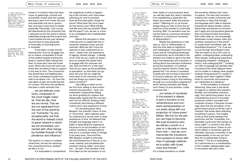known it. In Iceland, there has been

3. Olga Tokarczuk, "A New World Through My Window," ed. Chris Adrian and Rebecca Mead, The New Yorker, April 8, 2020, www.newyorker. com/books/pageturner/a-new-worldthrough-my-window.

4. Meredith Monk and Bonnie Marranca, Conversations with Meredith Monk (New York, NY: PAJ Publ., 2014), XI.

a ban on gatherings, schools and universities closed, jobs lost, people learning to work from home, the sick and potentially sick are in quarantine, and many more have to isolate physically. Personally, I lost my job, felt abandoned by the University that I ventured across the world to attend, indefinitely postponed the project that I had invested the last year developing and have no way physically or financially of returning home to Australia.

It has been a lonely and distressing time. And my struggles are by no means comparable to those of the resilient people working tirelessly in medical fields risking their lives, to those who have lost loved ones, others who have lost work and those who are without help or support in any way or form. The coronavirus has spread fear and helplessness, and I have considered myself fortunate to be where I am – far from the real depth of pain and suffering that it's caused. This time, this pandemic, has been a stark reminder that …

… we are delicate creatures, composed of the most fragile material. That we die—that we are mortal. That we are not separated from the rest of the world by our "humanity," by any exceptionality, but that the world is instead a kind of great network in which we are enmeshed, connected with other beings by invisible threads of dependence and influence.3

The world is in a place of undetermined time, and we are venturing into uncharted territory, whether we like it or not.

It is impossible to comprehend

the magnitude of what is happening at the moment, and I have been searching for how to proceed. How will this interruption shape the future? What does this virus mean for the human race? What will life look like once this has passed? When will this pass?! I am, we are, in a time of an unmitigated and unadulterated unknown.

Before this disruption in time, I had become occupied with the intersection between music and the unknown. What we don't have the capacity to fully understand as humans - death, love, the experience of ageing, climate change - a deadly virus? How do you create an experience for people that allows them to engage with the unknown and see, hear and feel it in a new way? How do you open up the possibilities of perception, so that when you go back into your life you might be more open to the moments of life, and see things you haven't been aware of before?4

Like falling on black ice for the first time, sliding in slow motion towards the pavement - here I am suspended. Ungracefully flailing my arms grasping for support and desperately hoping that the recovery won't be too difficult. Existing inside a threshold, discovering a different rhythm and a new experience of time.

For the philosopher Henri Bergson, the scientific notion of time, or "clock time", didn't address what he understood to be the inner or lived experience of time. He believed that thought and language weren't capable of describing the experience because it's an accumulation of sensations, emotions, and perceptions that are in a constant state of change. In his early work, *Time and Free Will*, Bergson sought to articulate the lived experience of time as a concrete, material, and actualised phenomenon that he called 'pure duration´. He said: "Pure duration is the form taken by the succession of our

2019 2019 2019 2019 2020 2020 2020 2020 Rites of Presence

> 5. Henri Bergson, lime and Free<br>Will: An Essay on the Immediate Data of Consciousness, trans. Frank Lubecki Pogson (London, UK: George Allen & Unwin LTD, 1957), 100.

> 6. Adrian Heathfield, "Durational Aesthetics," Adrian Heathfield, 2012, https ://www.adrianheath field.net/project/ durational-aesthet ics, 140.

7. Damon Linker, "When Time Stops, The Week - All you need to know about everything that matters (The Week April 17, 2020), https://theweek.com/ articles/909137/ when-time-stops.

8. Damon Linker, "When Time Stops,".

9. Ruth Little, "Thresholding," Animated: Current Issues and Practice in Participatory Dance. 2019, file :///Users/brettsmith/ Downloads/Ruth%20 Little%20(1).pdf, 40.

10. Fred Moten, Stolen Life (Durham, UK: Duke University Press, 2018), xii.

11. Anne Bogart, And Then, You Act: Making Art in an Unpredictable World (London, UK: Routledge, 2008), 50.

12. Cassie Tongue, "Livestreamed Play Readings Instead of Theatre? It Just Reminds Me of What We've Lost," The Guardian (Guardian News and Media, May 29, 2020), https:// www.theguardian.com/ stage/2020/may/30/ livestreamed-playreadings-insteadof-theatre-it-justreminds-me-of-whatweve-lost.

13. Nicholas Berger, --.<br>"The Forgotten Art of Assembly," Medium (Medium, April 4,  $2020$ ), https:// medium.com/@nicholas berger/the-forgottenart-of-assemblya94e164edf0f.

inner states of consciousness when our self lets itself *live*, when it abstains from establishing a separation between the present state and anterior states."5 Meaning for us, as human beings living our lives in time, the experience of the present is continually evolving. With "no sensation ever being the same as a previous sensation; duration is a continuous movement of differentiation".6

Maybe this experience of stillness or 'lack of' differentiation is why this time feels so significant and challenging? Uncoupled from the future and an unforgiving landscape of productivity, we're stranded in the present and unable to ignore the feeling of futurelessness and ourselves. In writing about the extensive shutdowns during the pandemic, U.S political science reporter Damon Linker suggested that "our sense of ourselves is partly who we're trying to become".7 As futural creatures, we are always looking forward, trying to find meaning through our accumulative experience", which dances intimately with Bergson's theory of pure duration. Linker proposes that …

… our sense of ourselves in the present is always in part a function of our remembrance and constant reinterpretation of our pasts along with our projection of future possibilities. We *live* for the person we hope to become. We *look forward to* who we will be a month or a year or a decade or more from now — and we commemorate the transitions from present to future with rites of passage celebrated in public with loved ones and friends.<sup>8</sup>

It's in these transitions or inside

this transitive stillness that I want to explore. The rites and commemorations that create community and connection in ways that thought and language aren't able to express. Experiences where familiar cultural hierarchies and barriers to inclusion don't apply and incorporative gestures that move beyond what Dramaturg Ruth Little views as "an increasingly distributed, screen-based, static and synthetic experience of the world"<sup>9</sup> to create what Fred Moten calls "differentiated presence".10 Or, if we are to look through Anne Bogart's lens: "We are meant to be in the room together, undergoing ideas, undergoing other people, undergoing experience, undergoing metaphor, undergoing history, and undergoing life".<sup>11</sup> Creating not rites of passage but perhaps rites of presence?So what happens when you're unable to undergo other people, undergo living because it's unsafe to undergo each other together? What kinds of community and presence can materialise at a distance?

In the immediacy of physical distancing, there was a real sense of urgency to address this question. Notably, and somewhat unsurprisingly, from performing artists. As an overwhelming amount of hurriedly produced content cascaded onto computer screens, it became increasingly clear that the simulation of live performance would not fill the void of 'liveness' that exists when attending something in person. The fragility of the air that exists between the performer and the "irresistible, irreplaceable community that springs up every night"12 is central to the allure of a *live* performance. Online re-creations satisfy a momentary gap but ultimately "become a reminder of the irreplaceability of the very art form they are so desperately trying to recreate".13 The act of assembling for a performance is a manifestation of the invisible, indispensable need to be present with each other.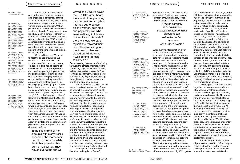14. Ruth Little, "Thresholding," 40.

15. Christine Kearney, "Italians Sing Patriotic Songs from Their Balconies during Coronavirus Lockdown," The Guardian (Guardian News and Media, March 14, 2020), https://www. theguardian.com/ world/2020/mar/14/ italians-sing-patriotic-songs-fromtheir-balconies-during-coronaviruslockdown.

16. Vanessa Thorpe, "Balcony Singing in Solidarity Spreads across Italy during Lockdown," The Guardian (Guardian News and Media, March 14, 2020) www.theguardian.com/ world/2020/mar/14/ solidarity-balconysinging-spreadsacross-italy-duringlockdown.

17. Vanessa Thorpe, "Balcony Singing in Solidarity Spreads across Italy during Lockdown.

18. David Byrne, How Music Works (New York, NY: Three Rivers Press, an imprint of the Crown Publishing Group, a division of Penguin Random House LLC, 2017), 9.

This community, this sense of togetherness requires presence and presence is extremely difficult to cultivate when the only real requirements are a computer and a functioning internet connection. "When performance makers ask an audience to attend, they don't only mean to turn up. They mean a-tendre – stretch towards, be present with all our senses, pay somatic attention".14 Our devices are incredible inventions that enable us to see, hear and network from all over the world, but they cannot replace the transcendent act of experiencing together.

We need *live*ness. We need to feel the space around us. We need to be connected with and to other people to become present. To become. This need became of its own volition as impromptu concerts and happenings appeared like melodious spot fires during some of the most challenging moments of the pandemic. In Italy, musicians, amateurs and professionals alike, began playing and singing from their balconies across the country, "harmonies echoing down narrow streets as residents … joined together in song".<sup>15</sup> From the "southern cities of Salerno and Naples, and the Sicilian capital Palermo to Turin in the north, residents of apartment buildings and tower blocks, continued to sing or play instruments, or to offer DJ sets, from their balconies in a trend that spread from Italy across Europe".16 In Vanessa Thorpe's Guardian article about the performances, she interviewed locals about an invitation to people who can play an instrument to go to their window and perform:

In the flat in front of me, a couple with a small child appeared, the mother carried him in her arms while the father played a children's musical toy. They waved over at us and we

waved back. We've never met ... A little later I heard the sound of people using pans to beat out a rhythm.

It turned out to be two elderly women, both small and physically frail, who were testifying in this way to their love of life and of the city. I took two pans myself and followed their beat. Then we said goodbye to each other and closed our windows as it was getting too cold to carry on.<sup>17</sup>

Reverberating between walls, winding through the streets, maintaining the necessary physical distance needed to keep each other safe while fostering social harmony. People being and becoming together, connecting through sounds, expressions from and to one another's bodies.

Sound and music have a unique way of creating togetherness. Sound as a tangible element doesn't exist; it's an abstract concept. What we hear is one matter colliding with another, generating movements through the air that are picked up by our ears. It's felt by our bodies, fills space, moves with and through time, becomes a language accessible to all people and can "profoundly alter how we view the world and our place in it".18 What's more, if we look through Bergson's magnifying glass, when we listen to music, we're not listening just to a succession of detached, independent sounds. For us, each sound infuses into the next; melting into each other. They become so enveloped in one another that we form the complete song. During this pandemic, music has become a way of being together at a distance; travelling between people, providing literal bridges of sound.

In her poem "Somewhere there's a nothing I'm a Part of",

Rites of Presence

19. Elaine Kahn, Romance or the End: Poems (New York, NY: Soft Skull, 2020),

20. Lutz Jäncke, "Music, Memory and<br>Emotion," *Journal* of Biology 7, no. 6 (August 8, 2008): 21-21.5, https:// doi.org/10.1186/ jbiol82, 21.1.

21. Margulis, Elizabeth Hellmuth. "Music Is in Your Brain and Your Body and Your Life – Elizabeth Hellmuth Margulis: Aeon Essays." Aeon. Aeon. November 2, 2017. https://aeon.co/ essays/music-is-inyour-brain-and-yourbody-and-your-life.

22. Pauline Oliveros, Software for People (Barrytown, NY: Station Hill Press, 1984).

23. David Byrne, How Music Works (New York, NY: Three Rivers Press, an imprint of the Crown Publishing Group, a division of Penguin Random House LLC, 2017), 9.

24. Non Zero One, "DAWNS," DAWNS (Non Zero One and James Bulley, 2020), https://dawns.live/.

114.

Poet Elaine Kahn considers music as a way to foster connection and intimacy through its ability to tap into known and unknown memory:

> *if I listen carefully to certain music I can just remember what it's like to live inside the perfect closeness of another's breath*<sup>19</sup>

While Kahn's interpretation is far more romantic, she is alluding to aspect of music that neuroscientists have claimed regarding music and connection. The direct act of hearing music "activates the entire limbic system, which is involved in the processing of emotions and in controlling memory".20 However, music goes beyond a merely neurological encounter. It is a "deeply culturally embedded, multimodal experience shaped by nearly all other aspects of human experience: how we speak and move, what we see and know".21 It affects our bodies, creates sensations, evokes emotion and connects through sound. Music is what composer Pauline Oliveros called "software for people"<sup>22</sup>; it pushes beyond the screen and points to the world around us and the world inside us. It can "get us through difficult patches in our lives by changing not only how we feel about ourselves, but also how we feel about everything outside ourselves".23 Creating connection, creating community, creating commons, creating commonality.

UK Composer, James Bulley and Non-Zero One's work DAWN, is a sound experience that was created as a response to a UK National Trust commission to make a live artwork marking their 125th anniversary. The work was adapted for accessibility and safety during the pandemic and is a celebration of togetherness, difference, nature and light.<sup>24</sup> Logging UK time), I sit alone with the unfamiliar hue of the Reykjavík morning bleeding through my window and a provocation to consider my relationship to time, nature and my community. The scratch of the bow against a violin string from North Yorkshire wakes up the back of my neck, and the soothing voice of Cat Harrison speaks to me from Caithness, Scotland as I notice the chirping of the obnoxiously loud birds outside. Slowly, as the sun rises, I become increasingly aware of the vast network in which we are enmeshed, connected with other beings by invisible threads of dependence and influence. Across localities, across time, all of the participants are asked to take a photo at 4:49 am, capturing a singular moment from their perspective, a collation of differentiated experience. Experiencing liveness, experiencing togetherness, experiencing presence, creating ritual and becoming community from isolated space.

To engage in transitive stillness together, to create rituals and rites of presence, whether isolated or not, we need the agency to partake, participate and assemble. No matter how diverse our lifestyles, histories or tastes in music, commonality might be found in the way that we engage in music together. For Oliveros, "It is no longer sufficient to solely dwell on the music; the perceiver must be included"25, a sentiment that resonates deeply in light of social distancing and isolation. What kinds of presence, connection and encounter become possible when we incorporate the audience into the music and the making of music? What might happen if we try to think of rehearsal as the heart of the practice, or as the performance itself?

A musical rehearsal is a time of preparation used to craft a composition or develop a performance for public presentation. It is a dynamic space that welcomes mistakes in

25. Pauline Oliveros, Software for People, 180. on to the website at 2:43 am (3:43 am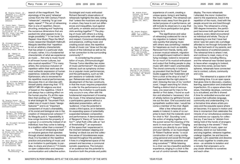#### Many Forms of Learning

26. Douglas Harper, ed., "Rehearse (v.)," Online Etymology Dictionary, 2000, https://www. etymonline.com/word/ rehearse.

27. Tzachi Zamir, "Theatrical Repetition and Inspired Performance," Journal of Aesthetics and Art  $Criticism$  67, no. 4 (2009) 365-373, https://doi.org /10.1111/j.1540-6245. 2009.01366.x, 368.

28. Elizabeth Hellmuth Marqulis, On Repeat: How Music Plays the Mind (Oxford, NY: Oxford University Press, 2014), 5.

> 29. "Ragnar on Ragnar", Vimeo, 2014, https://vimeo. com/95749559, 00:46.

30. W. Tecumseh Fitch, "The Biology and Evolution of Music: A Comparative Perspective," Coanition 100, no. 1 (2006): 173-215, https://doi.org/10.1016/j. cognition.2005.11.009, 173–215.

> 31. Elizabeth Hellmuth Marqulis, On Repeat: How Music Plays the Mind, 21.

32. Elizabeth Hellmuth Margulis, 21.

33. Douglas Harper, ed., "Participate (v.)," Online Etymology Dictionary, 2000, https://www.etymonline.com/ word/participate.

> 34. Richard Sennett, Respect: The Formation of Character in an Age of Inequality (London, UK: Penguin, 2004), 6.

> 35. Elizabeth Hellmuth Margulis, 59.

36. Thomas Turino, Music as Social Life: the Politics of Participation (Chicago, IL: University of Chicago Press, 2008), 26.

37. Henri Bergson, Time and Free Will: An Essay on the Immediate Data of Consciousness, 100.

> 38. Ruth Little, "Thresholding", 39.

search of the magnificent. The etymology of the word 'rehearse' comes from the 13th Century French "rehearcier", meaning "to go over again, repeat".26 The act of rehearsing then is one of repetition. Deconstructing, analysing and "exploring the numerous dimensions that are packed into what appears to be a single possibility".27 In her book "On Repeat: How Music Plays the Mind", music researcher Elizabeth Hellmuth Margulis identifies that "repetition is not an arbitrary characteristic that has arisen in a particular style of music; rather, it is a fundamental characteristic of what we experience as music … Not only is music found in all known human cultures, but also musical *repetition*".28 For many artists, the conscious inclusion of repetition within their work was the most authentic expression of human experience. Icelandic artist Ragnar Kjartansson, who is renowned for his repetitive musical performances, discusses this in an interview with himself plainly observing that: "IT'S ABOUT ME! All religions are kind of based on the repetitive. I think it just always has a calming effect on the human psyche. It's all this repetition that soothes us".29 Repetition is what biologist W. Tecumseh Fitch called one of music's basic "design features"30 and is an "important component of music's shareability, of its social and biological role in the creation of interpersonal cohesion".31 As Margulis puts it, "repeatability is how songs become the property of

a group or a community instead of an individual, how they come to belong to a tradition rather than a moment".32

The act of rehearsing is itself an inclusive gesture that operates through shared dedication, becoming ritual. It is founded on the repetitive practice and practising of music and is an invitation to participate; to partake, to share and share in.<sup>33</sup> It insists on open collaboration and requires communication and collective action.

Sociologist and music enthusiast Richard Sennett's observations of rehearsals highlights this idea, noting that "unless the musicians are playing in unison, they have to sort out differences and inequalities, loud against soft parts, or soloists and accompanists working together".34 The playing of music with others is a living, expanding encounter with empathy and respect. Conscious intentionality and presence, crafting music and creating social value; the repetitive rituals of music can "draw out the signature of the individual as well as his or her connection to the surrounding community".35

In considering the presentation of music, Ethnomusicologist Thomas Turino identifies two styles of music performance<sup>36</sup>: the presentational, such as symphony orchestra or popular music performances, and the participatory, such as folk jam sessions or Icelandic tvísöngur. Rehearsals exist as part of the development of the two constructs, in that the music requires preparation in order for the performance to exist. However, the invitation to participate only occurs in one, often with the fundamental requirement of knowing the music. If the rehearsal becomes a participatory gesture without a dedicated presentation, with an 'audience', it has the potential to create a third space, an in-between. An expanding space of potentiality suspended between composition and performance. A demonstration of Bergson's' theory of "pure duration"37, what Ruth Little calls an "act of thresholding"38, an expression of the space that I experienced in the moment between slipping and 'landing' on black ice and the collective sense of futurelessness experienced throughout the pandemic. It lives in a heightened space of the present and becomes a communal somatic experience. The inclusion of an audience has the potential to transform both the private and public

2019 2019 2019 2019 2020 2020 2020 2020 Rites of Presence

> 39. Andrew Evans, Iceland: the Bradt Travel Guide (Chalfont St. Peter, Bucks: Bradt Travel Guides Ltd, 2017), 41.

40. Harper Douglas, "Core (n.)," Index, 200AD, www.etymonline. com/word/core.

41. Robert Faulkner, Icelandic Men and Me: Sagas of Singing, Self, and Everyday Life (Farnham, Surrey: Ashgate, 2013), 199.

42. Barbara Ehrenreich, Dancing in the Streets: A History of Collective Joy (London, UK: Granta Books, 2008), 304.

experience of a work, creating a unique space, living in and feeling the music together. The rehearsal can liberate music away from the goal-directed purpose of a performance, yet still include its observers in a way that doesn't force participation but gives agency to it.

The significance and value of rehearsing coalesced for me in my migration to Iceland. I learnt very quickly that playing music with others was something I needed for happiness as much as stability. Removed from friends, family, and a known musical network, migration is a straightforward method in identifying nostalgia. Iceland is renowned for so much of its musical enthusiasm and output that finding people to play music with didn't seem unachievable. The choral community in Iceland is so prevalent that the Bradt Travel Guide suggests that "Icelanders will form a choir at the drop of a hat".<sup>39</sup> This seemed like the right place to start. Grieving the loss of my 'comfort zone', I began searching for choirs. Feeling a distinct kind of nervousness, one reserved for trips to the dentist or first dates, I found an audition and attacked a 'necessary' shot of whisky before my girlfriend forced me out the door. One successful and sympathetic audition later, I would become a member of the choir Ægisif.

After a few rehearsals and weeks in Iceland, it came of no surprise to learn that the Icelandic word for choir is 'Kór'. Sounding 'core', the action of singing together is in the purest sense the meaning of the word: in most part or heart.<sup>40</sup> Singing connects you directly to your body and your identity, or as musicologist Dr Robert Faulkner wrote: "a vocal construction of self, a song configuring personal and social life through which 'we celebrate ourselves and sing ourselves".<sup>41</sup> While listening to a choir can be a beautiful aesthetic experience, singing in a choir is like an out of control somatic fireworks

repetition of the music, *lived with* the people around me and *lived through* my voice. The rehearsal is a living 360-degree immersion, the participant becomes both performer and audience, every detail encountered as individual and whole. The joy of rehearsing is one that I have had since I was ten years old, a privilege afforded to me through fortunate timing, the hard work of my parents, and an abundance of scattered passion. The rehearsal time is where I met, and continue to meet, many of my closest friends, including Wency, and the rehearsal was hardest space to leave when voyaging to Iceland. Across time zones, across hemispheres, rehearsals have connected me to context, culture, community and core.

The rehearsal is a space of differentiating time. It is an open space that gives time to discovery, creation, learning, appreciation and unabashed imperfection. It's a space where time slows, friendship develops, community is actualised, and life is shared. A time for embodied encounter and a space that cultivates language, community and understanding. It is a formative time where artists process and the exquisite space where art becomes. It is space in motion and time in momentum that celebrates the miracle of our simultaneous existence and restores our capacity for collective joy. If we have to "abstain from taking hold of the hands of strangers and dancing in the streets",<sup>42</sup> then let's take hold of music, open our windows, stand on our balconies and sing together, rehearse together, undergo together, be and become together. Let's assemble and dissolve into music together to create presence – an antidote to isolation and a remedy that empowers us to pay closer attention to ourselves and each other.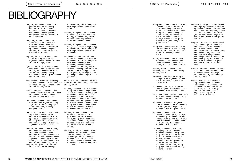Berger, Nicholas. "The Forgotten Art of Assembly." Medium. Medium, April 4, 2020. https://medium. com/@nicholasberger/theforgotten-art-of-assemblya94e164edf0f.

- Bergson, Henri. Time and Free Will: An Essay on the Immediate Data of Consciousness. Translated by Frank Lubecki Pogson. London, UK: George Allen & Unwin LTD, 1957.
- Bogart, Anne. And Then, You Act: Making Art in an Unpredictable World. London. UK: Routledge, 2008
- Byrne, David. How Music Works. New York, NY: Three Rivers Press, an imprint of the Crown Publishing Group, a division of Penguin Random House LLC, 2017.
- Ehrenreich, Barbara. Dancing in the Streets: A History of Collective Joy. London, UK: Granta Books, 2008.
- Evans, Andrew. Iceland: the Bradt Travel Guide. Chalfont St. Peter, Bucks: Bradt Travel Guides Ltd, 2017.

Faulkner, Robert. Icelandic Men and Me: Sagas of Singing, Self, and Everyday Life. Farnham, Surrey: Ashgate, 2013.

Fitch, W. Tecumseh. "The Biology and Evolution of Music: A Comparative Perspective." Cognition 100, no. 1 (2006): 173–215. https://doi.org/10.1016/j. cognition.2005.11.009.

Harney, Stefano, Fred Moten, and Jack Halberstam. " The Wild Beyond: With and for the Undercommons." Essay. In The Undercommons Fugitive Planning & Black Study, 2-13. Wivenhoe, UK: Minor Compositions, 2013. Harper, Douglas, ed. "Core (n.)." Online Etymology

Dictionary, 2000. https:// www.etymonline.com/word/ core.

- Harper, Douglas, ed. "Participate (v.)." Online Etymology Dictionary, 2000. https://www.etymonline. com/word/participate.
- Harper, Douglas, ed. "Rehearse (v.)." Online Etymology Dictionary, 2000, https:// www.etymonline.com/word/ rehearse.
- Heathfield, Adrian. "Durational Aesthetics." Adrian Heathfield, 2012. https:// www.adrianheathfield. net/project/durationalaesthetics.Jäncke, Lutz. "Music, Memory and Emotion." Journal of Biology 7, no. 6 (August 8, 2008): 21–21. 5. https://doi.org/10.1186/ jbiol82.
- Kahn, Elaine. Romance or the End: Poems. New York, NY: Soft Skull, 2020.
- Kearney, Christine. "Italians Sing Patriotic Songs from Their Balconies during Coronavirus Lockdown." The Guardian. Guardian News and Media, March 14, 2020. https://www.theguardian.com/ world/2020/mar/14/italianssing-patriotic-songs-fromtheir-balconies-duringcoronavirus-lockdown.
- Linker, Damon. "When Time Stops." The Week - All you need to know about everything that matters. The Week, April 17, 2020. https://theweek.com/art icles/909137/when-timestops.
- Little, Ruth. "Thresholding." Animated: Current Issues and Practice in Participatory Dance. Spring/ Summer, no. 2019, 2019. file:///Users/brettsmith/ Downloads/Ruth%20Little%20 (1).pdf.

| Margulis: Aeon Essays."<br>Aeon. Aeon, November 2,<br>2017. https://aeon.co/<br>essays/music-is-in-your-<br>brain-and-your-body-and-<br>vour-life. |
|----------------------------------------------------------------------------------------------------------------------------------------------------|
| Margulis, Elizabeth Hellmut<br>$Q_{\text{in}}$ , $Q_{\text{out}}$ and $Q_{\text{out}}$ , $Q_{\text{out}}$ , $Q_{\text{out}}$ , $Q_{\text{out}}$    |

th Hellmuth. On Repeat: How Music Plays the Mind. Oxford, NY: Oxford University Press, 2014.

Margulis, Elizabeth Hellmuth. "Music Is in Your Brain and Your Body and Your Life – Elizabeth Hellmuth

Rites of Presence

Monk, Meredith, and Bonnie Marranca. Conversations with Meredith Monk. New York, NY: PAJ Publ., 2014.

Moten, Fred. Stolen Life. Durham, UK: Duke University Press, 2018.

NOWNESS, and Caviar Prague. "Ragnar on Ragnar". Vimeo. 2014. https://vimeo.com /95749559.

Oliveros, Pauline. Software for People. Barrytown, NY: Station Hill Press, 1984.

One, Non Zero. DAWNS. Non Zero One and James Bulley, 2020. https://dawns.live/.

Sennett, Richard, Respect: The Formation of Character in an Age of Inequality. London, UK: Penguin, 2004.

Sinatra, Frank. "The Tea Break" (Monologue). Vinyl recording. Sinatra at the Sands with Count Basie and the Orchestra. Sands Hotel and Casino, Las Vegas, Nevada. USA., 1966.

Thorpe, Vanessa. "Balcony Singing in Solidarity Spreads across Italy during Lockdown." The Guardian. Guardian News and Media, March 14, 2020. https://www.theguardian. com/world/2020/mar/14/ solidarity-balcony-sing ing-spreads-across-italyduring-lockdown.

Tokarczuk, Olga. "A New World Through My Window." Edited by Chris Adrian and Rebecca Mead. The New Yorker, April 8, 2020. https://www.new yorker.com/books/page-tur ner/a-new-world-through-mywindow.

Tongue, Cassie. "Livestreamed Play Readings Instead of Theatre? It Just Reminds Me of What We've Lost." The Guardian. Guardian News and Media, May 29, 2020. https://www.theguardian. com/stage/2020/may/30/live streamed-play-readings-in stead-of-theatre-it-justreminds-me-of-what-wevelost.

Turino, Thomas. Music as Social Life: The Politics of Participation. Chicago. IL: University of Chicago Press, 2008.

Zamir, Tzachi. "Theatrical Repetition and Inspired Performance." Journal of Aesthetics and Art Criti $cism 67, no. 4 (2009):$ 365–73. https://doi. org/10.1111/j.1540- 6245.2009.01366.x.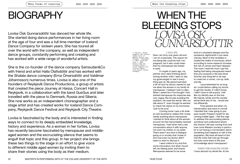# **BIOGRAPHY**

Lovísa Ósk Gunnarsdóttir has danced her whole life. She started doing dance performances in her living room at the age of four and was a full time member of Iceland Dance Company for sixteen years. She has toured all over the world with the company, as well as independent dance groups, constantly performing and creating and has worked with a wide range of wonderful artists.

She is the co-founder of the dance company Samsudan&Co with friend and artist Halla Ólafsdóttir and has worked with the Shalala dance company (Erna Ómarsdóttir and Valdimar Jóhannsson) numerous times. Lovisa is also one of the founders of Reykjavík Dance Productions, a group of artists that created the piece Journey at Harpa, Concert Hall in Reykjavik, in a collaboration with the band GusGus and later travelled with the piece to Denmark, Russia and Siberia. She now works as an independent choreographer and a stage artist and has created works for Iceland Dance Company, Reykjavík Dance Festival and Reykjavík City Theatre.

Lovísa is fascinated by the body and is interested in finding ways to connect to its deeply embedded knowledge, history and experience. As a woman in her forties, Lovisa has recently become fascinated by menopause and middleaged women and the excruciating silence that seems to engulf that topic and this group. In her project she brings these two things to the stage in an effort to give voice to different middle aged women by inviting them to share their stories using the body as their medium.

# WHEN THE BLEEDING STOPS

#### *I AM LATE.*

Now I am forty-one years old and I am at crossroads. The reason for me being late could be that I am pregnant, but it also could mean that my menopause has kicked in early.

1. Bazian, "Study Suggests HRT Carries Higher Risk of

Breast Cancer than Thought," September 3, 2019. Accessed June 3, 2020. https://www.nhs. uk/news/cancer/ study-suggests-hrtcarries-higherrisk-breast-cancer-

thought/.

A couple of years ago, my partner and I were thinking about having another child. I went to see my gynecologist to see if everything was ok. My period had been a bit off and my doctor started to ask me when the women in my family hit menopause. I realised I had no idea. When I asked him if he thought I had started menopause his response was very vague, like he was avoiding the question. He used the words "lets not talk about it", even though he wanted to check the status of my hormones, "just to be sure".

Coming home I was a bit shaken and shocked to realise that I knew hardly anything about menopause. I started to think about all the women around me that had probably reached menopause. I had never had a real conversation about it with anyone, not even my mother or my sister. There wasn't any kind of dialogue going on in society that I knew of and now even my doctor didn't seem to want to discuss it.

I went online to try and find some information, but what I found left me feeling panic and shame. Menopause seemed to be some

kind of a shameful disease and the symptoms nightmarish if you were unlucky. Most of the remedies included the intake of hormones, which according to some research increase the risk of cancer and heart disease. The more I read the more I got the feeling that being menopausal meant that your purpose in life was done. And the only thing left to do was to crawl into a corner, curl up, fade and die.

I procrastinated for as long as I could before calling my doctor to get the results. If I didn't know, I didn't have to tell anyone. I felt like my identity was on the line. My friends, family and the society would think less of me - would see me differently.

Time passed and when my menstruation was back to normal I decided that I was going to prepare myself. Prepare myself for becoming middle aged. I felt the urge to address this excruciating silence somehow and understand where this shame I felt was coming from and how come Western society in particular is not having a conversation about something that happens to half of the population. We have all heard of the mid-life crisis that men go through, but how come there is this lack of knowledge about menopause?

*WHEN THE DANCING STOPS* I have danced my whole life. At the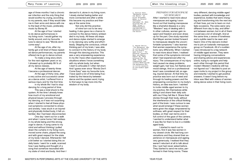age of three months I had a chronic ear infection and the only thing that would soothe my crying, according to my parents, was if they would take me in their arms and dance with me to the beat of the music, preferably music by Boney M.

At the age of four I started to do dance performances in my living room. I would gather my family around, and my favourite tune to dance to was "Words don't come easy".

At the age of six, after my family got a bit tired of these repeat ed dance performances, my parents offered me to go to dance school.

To make a long story short, for the next eighteen years or so, I showed up to probably 99 % of all my dance classes.

At the age of twenty-three I became a professional dancer.

At the age of thirty-nine, after a very active and successful career as a dance artist, I suffered from a serious injury and for the first time in my whole life I had to stop dancing for a long period of time.

This was a total shock to the system. At the time I already knew how much of my emotional and physical issues I process through my dancing, so it was not surprising when I started to feel all these phys ical symptoms connected to stress and anxiety. I was stuck in an injured and physically limited body, it felt un familiar, like I had been disconnected.

One day I went out for a walk and when I came home I felt restless in my whole being and this strong urge to dance. A song came to my mind and without thinking I pulled down the curtains in my living room, moved some chairs, played the song and with great respect for the state of my body I danced. Afterwards I felt a bit better so I started doing this on daily basis. I went for a walk, scanned how I was feeling and thought of a song that somehow resonated with my state of mind and body. And then I

danced to it, alone in my living room. I slowly started feeling better and more connected and after a while this became my practice and therapy at the same time.

Not only did this practice of mine turn out to be very healing, it also gave me a chance to connect to the dance history embed ded in my body. All these old steps and dance styles started to emerge in my dancing very softly and effort lessly. Skipping the conscious, critical thinking part of my brain, I was able to connect to the history of my body through this dancing practice. This was a very empowering experience. In my life I have often experienced situations where I know something with my whole body, but when I start to articulate it I often fall short. And I guess ever since "Words Don't Come Easy" was my favourite tune, I have spent a lot of time being frustrated by the hierarchy between dance and the spoken word, trying to find ways to tap more into the wisdom of my body.

2. Kaitlyn Pote, "Menopause Around the World," ed. Elise Schroeder, Women in Balance Institute, September 19, 2014. Accessed May 15, 2020. https:// womeninbalance. org/2014/09/17/ menopause-aroundthe-world/.

3. Hannah Devlin, "The Menopause: Why so Little Research on the Middle-Aged Ovary?," The Guardian (Guardian News and Media), August 26, 2019. Accessed May 29, 2020. https://www. theguardian.com/ society/2019/aug/26/ the-menopause-whyso-little-researchon-the-middle-aged-

ovary.

#### *PREPARING FOR MENOPAUSE /MY RESEARCH*

After I started to read more about menopause and ageing I soon found out that treating menopause like a shameful disease is a very "Western" way of dealing with it. In other cultures, women gain respect and freedom and even dress up for the part. One study reported that Mayan women looked forward to menopause despite the uncom fortable symptoms. 2 I also learned that women experience the symp toms very differently. When I started to read more about them, I realised that some of the symptoms mirrored what I had experienced after my injury. The consequences of my injury had caused me sleep problems, weight gain, hair loss, hot flashes and mood swings. And on a professional level I was considered old, an age ing, injured dancer. At that time my practice was born out of need and through its healing powers and the empowering connection to my body's history, an idea was born. I wanted to invite middle-aged women to try my practice, film themselves while doing it and share their daily solo with me if they felt like it. Share their stories through their body, without the interference of the critical thinking part of the brain. I was curious to see what would emerge if these women were given the stage; empowered by softness, with great respect for their bodies, on their own terms and in full control of the gaze of the camera. I wanted to understand better what it was like for them to live in a middleaged body.

I started to reach out to women, first it was few women in my closest circle. We had long con versations and they shared their ex perience on menopause and ageing very generously. I realised that they weren't reluctant at all to talk about this, I just had never asked before. They started to send me solos, per formed in their living rooms. These

very different, dancing middle-aged bodies, packed with knowledge and experience, bodies that were chang ing and transforming into the next era of their lives, put me to tears on mul tiple occasions. The solos were very different from day to day, and differ ent between women, but in all of them I could see a lot of strength. And at the same time, a sense of loneliness and a subtle need to be seen and heard. One of the dancers invited me to join an Icelandic menopause group on Facebook. All of a sudden I was introduced to a big network of middle-aged women. They were having intriguing conversations and sharing advice and experiences online, trying to navigate and help each other through this period that modern Western medicine still has not figured out. 3 I decided to post an open invite to my project in the group and instantly I started to get positive answers. It wasn't long before my inbox was filled with videos of women doing dance solos in their living room.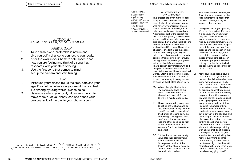4. Jane Ratcliffe, "'Brokenness and Holiness Really Go Together': Darcey Steinke on Menopause," ed. Dana Snitzky, June 14, Longreads (Longreads Members), June 14, 2019. Accessed April 20, 2020. https://longreads. com/2019/06/14/darceysteinke-on-menopause/.

#### *MANY MIDDLE-AGED FEMALE BODIES*

#### This project has given me the opportunity to have a conversation with many Icelandic middle-aged women who have very generously shared their experiences and thoughts on living in a middle aged female body. A significant part of the project has become about placing these different women and their experiences alongside each other, in ways that highlight both what they have in common as well as their differences. The closing chapter of this text takes the shape of a fictional dialogue, heavily inspired by real conversations – which explores this meeting point through writing. The dialogue brings together voices of the different women I have been in conversation with and imagines how these different voices might talk together. I have also added Darcey Steinke to the conversation. Steinke is an author and an educator and became my thinking partner through her book Flash Count Dairy.

- Me: When I thought I had entered my menopause I was so surprised to experience all this shame I felt. How is it for you to live in a middle-aged body?
- K: I have been working every day to get rid of the shame and be less judgmental, mainly towards myself. I am trying to get rid of this burden of feeling guilty over everything. I have gained more confidence, I am more careless and other people's opinion of me, does not influence me anymore. But it has taken time and effort.
- DS: "I think that women are mostly valued for their sexuality and their motherhood abilities. Once you're outside of that, there's a lot of shame, because we're made to feel that our bodies are kind of useless.

That we're somehow damaged. A lot of shame comes from the idea that after the phases that the world values, we're just kicked to the sidelines."4

A: I feel great about getting older, it´s a privilege in fact. Perhaps it is because my little brother only lived to be 23 years old. In my case ageing is accompanied by increased maturity, more freedom in all areas and despite the hot flashes, hormonal fluctuations and the frustration that come with those things, they are nothing compared to the insecurity and herd behaviour of the younger years. My motto is to try to enjoy life, not take it too seriously and dance through difficult times.

S: Menopause has been a tough time for me. The symptoms hit me hard, but I didn't realise I was in my menopause until much later. I have to admit that I broke down in tears when I finally got an explanation what was going on. But I also cried for not being prepared, for not knowing all of this was normal, maybe unusually strong symptoms but normal. In my case my brain shut down. I couldn't remember a thing, I couldn't think. For the first time, I understand why women were put in asylum in the old days and did not fight. I would have been glad to get the rest and not have to think about home, being a single mother of three children, alone with all the responsibility, with a brain that didn't function! It was quite an awful time, but shortly after I started taking hormones, everything became better. But my self-confidence has taken a big hit that I am still struggling with, a few years later. I started exercising again and have been enjoying myself.

*MATERIAL: AN AGEING BODY, MUSIC, CAMERA.* 

#### *PREPARATION:*

- 1. Take a walk alone, preferable in nature and give yourself a chance to connect to your body.
- 2. After the walk, in your home/a safe space, scan how you are feeling and think of a song that resonates with your state of being.
- 3. Use the first song that comes to mind, set up the camera and start filming.

#### *TASK:*

- 1. Introduce yourself and tell us the time, date and your age. If something else is on your mind that you feel like sharing by using words, please do so.
- 2. Listen carefully to your body. How does it want to move today? Let your body lead and dance your personal solo of the day to your chosen song.

NOTE: REPEAT THE TASK ONCE A DAY/WEEK FOR AS LONG AS YOU LIKE. EXTRA: SHARE YOUR SOLO WITH WHOM YOU LIKE.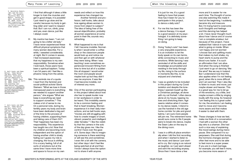#### Many Forms of Learning

5. Geraldine Bedell, "Sex and the over-60s," The Guardian (Guardian News and Media), January 12, 2012. Accessed May 28, 2020. https:// www.theguardian.com/ lifeandstyle/2012/ jan/12/sex-over-60solder-people.

6. bell hooks and Emma Watson, "Emma Watson and Bell Hooks Talk Feminism, Confidence and the Importance of Reading," PAPER, June 15, 2020. Accessed April 15, 2020. https:// www.papermag.com/ emma-watson-bell-hooksconversation-1609893784. html?fbclid=IwAR1kN04zC ApoPbMIvKBgDGaDzOdw2Fp-NJrAGamzi5wCcoOv TRIITHAL thin

7. bell hooks and Emma Watson, "Emma Watson and Bell Hooks Talk Feminism, Confidence and the Importance of Reading," PAPER, June 15, 2020. Accessed April 15, 2020. https:// www.papermag.com/ emma-watson-bell-hooksconversation-1609893784. html?fbclid=IwAR1kN04zC ApoPbMIvKBgDGaDzOdw2Fp-NJrAGamzi5wCcoOv I8UTHALt0io.

I find that although it takes a little longer to train the muscles and get in good shape, it is possible! I just need to go slow and be careful, because my body is get ting older and I want to respect that. But I can run, climb, jump and yes, even dance, just like I always could.

- Þ: My mantra has been: "I am not going to be a bitter old lady." I have never experienced these difficult physical symptoms that many women describe. For a while, I sweated considerably at night. But it comes in waves. I feel increased awareness that my happiness is my own responsibility. Somehow when I look back, those years have been a spiritual baptism. Today I am 54 years old. I feel like a phoenix rising from the ashes.
- Me: This reminds me of a quote I read from the feminist and social-political activist Gloria Steinem: "What we lose in those menopausal years is everything we needed to support another person," she argues "What we keep is everything we need to support ourselves."<sup>5</sup> This makes a lot of sense to me. On a personal note, during my fertility years my body and brain have been dedicated a big part of the time to the process of having children, supporting them and taking care of them 24/7. Their happiness has been my responsibility. This experience has taught me a lot. Now that my children are becoming more independent and the option of having another child is slowly fading out I guess my role is changing, the focus is shifting. It is a scary feeling, full of all sorts of emotions but at the same time I have more time and space to focus on my own

needs and reflect on how this experience has changed me.

Another feminist and professor, bell hooks, talks about how ageing allows women to move from object to subject.<sup>6</sup> The idea of being free of the sexual objectification, probably all women experience at some point in their life, sounds very refreshing.

- R: What happened to me is that I felt I became invisible. Normal ly when I would enter a coffee shop or the classroom people would look up and notice me and then get on with whatever they were doing. When I was teaching I even sometimes ex perienced innocent flirting from time to time but all of a sudden this all stopped. I would enter the room and people would maybe look up but they didn't see me anymore. It was like I had become invisible, not of interest any more.
- Me: One of the women participating in this project talked about how she has to speak louder now in her workplace in order to be heard. This invisibility seems to be a common feeling and that is heart breaking. Women experience it in their daily inter actions, and as bell hooks says, "movies are still struggling with how to create images of smart, vibrant, powerful, and intelligent older females." 7 I like the visibil ity that the camera in the solo of the day gives me. I like the control I have over the gaze of it. Some days I like to imagin ing someone is there watching or will see this and sometimes I even flirt a bit with the camera, but other days I don't feel like being watched at all and then I know I always have the option not to share it with anyone.

2019 2019 2019 2019 2020 2020 2020 2020 When the bleeding stops

It is just for me, it's a good feeling to have that power. How has it been for you to participate in this project, to dance a daily solo?

- K: For me this has been like a dance therapy, it is equal to a good session at my psyc hologist. It is definitely some thing I am going to keep on doing.
- Ó: Doing "today's solo" has been a very enjoyable experience. It is an invitation to let the body speak on its own terms, while connecting to music and emotions. While dancing I was reminded of all the skills and knowledge accumulated and residing in the body through my life, rising to the surface in moments like this, to be enjoyed and cherished.
- So: I was so grateful to be included in this project during my Covid isolation and despite the loneliness I opened myself up like a Christmas package, all alone with my cat Þorkell. I often dance alone at my house, tapping my toes and stretching them. Age seems relative when it comes to my dance needs. I intend to use the handrail in the old age home corridor for plie and grand batma. I am sure more people would sure come to life if people were to break into dance, maybe the Swan Lake on the way to the dining room.
- S: I was in a difficult place emotion ally when I did the first recording and when I started to listen to the music and dance I just start ed to cry. But crying is as natural as laughter, so I just went ahead and sent the recording anyway. Since then I have done a few

more and it is easier for me each time. The thought of some one else watching this made it hard at the beginning. I suddenly became shy and insecure. But, I'm trying hard to overcome such thoughts and feelings and this dancing has helped a lot. I have never thought much about how I dance and of course I am a complete amateur, but because of this project, I have realised that I dance in sync with what is going on inside. When I am happy and not worried I choose fast and uplifting music that makes my butt shake, my heart starts to pump and the blood runs faster. It is such an affirmation that I am alive. And when the song is finished I just want to go on dancing "like the wind" like we say in Iceland. But I understand now that this also applies when I'm not feeling good, when life is more difficult and I am worried. Then I also like to listen to music and move, just maybe slower and heavier. This is a great way for me to let go of the emotions, cry a little, and maybe scream a little by singing loudly with the song. So however I am feeling this is a great outlet for me, the emotions I am feeling start to move and I become more aware and that makes it easier to deal with them.

will join me. The retirement home Me: These changes in how we feel, make me think of a conversation I had with a woman the other day who is a shaman. She had such a nice way of explaining the mood swings during menopause. She compared it to superpowers. She said that during the hormone changes women often feel more and to be able to feel more is a super power. If you are in a bad marriage, for example, you will feel it more, you become more aware of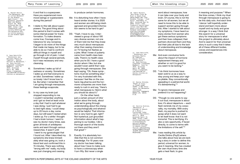8. Hannah Devlin, "The Menopause: Why so Little Research on the Middle-Aged Ovary?," The Guardian (Guardian News and Media), August 26, 2019. Accessed May 29, 2020. https://www. theguardian.com/ society/2019/aug/26/ the-menopause-whyso-little-researchon-the-middle-agedovary.

9. Jane Ratcliffe, "'Brokenness and Holiness Really Go Together': Darcey Steinke on Menopause," ed. Dana Snitzky, Longreads (Longreads Members), June 14, 2019. Accessed April 20, 2020. https://longreads. com/2019/06/14/darceysteinke-on-menopause/.

it and that is a superpower. Have you experienced more mood swings or superpowers during this period?

- Þ: I relate to this talk about superpowers. The good thing about this period is that it comes with some internal power for transformation. To make dreams come true. Courage and intolerance for any nonsense. I began to do more of the things that made me happy, but to be able to do so I had to confront difficult things in myself and go through a lot of pain. I cried myself through several periods, but it was necessary and very cleansing.
- K: Sometimes I wake up full of sadness or anxiety. Sometimes I wake up and feel everyone is an idiot. Sometimes I wake up so lonely I don't know how to be. But when I remember that I am going through menopause, these feelings evaporate.
- S: In my case my brain just stopped responding to me. I couldn't remember anything and I got so tired at least once a day that I had to quit whatever I was doing. I just had to go to bed right away. I could sleep up to 20 hours a day, some days, but still wasn't rested when I woke up. For a while I thought I had a brain tumour. I went to see my doctor many times, was given all kinds of antidepressants and went through various researches. It wasn't until I went to my gynecologist that I found out. After I described my symptoms she knew immediately what was going on, took a blood test and confirmed this in 15 minutes. There was nothing "wrong with me" really, my body was just changing and ceasing

#### to produce certain hormones.

- Me: It is disturbing how often I have heard similar stories. It is 2020 and women are still being misdiagnosed and grounded information seems to be hard to get.<sup>8</sup>
- DS: "Yeah. I have to say, I interviewed a group of about 100 very diverse women, not one of them told me that they knew very much about menopause other than seeing characters on TV having hot flashes as a joke. What I knew of puberty came from health class basically. There's no health class when you're 50. I have a good doctor whom I like, but she wouldn't even admit that I was going through menopause. She kept saying, "Oh, these symptoms must be something else." I'm very frustrated with this, because I feel like on the one hand, big pharma and the hormone companies are more than ready to rush in and say, "Here's what menopause is. Here's what you should do about it."
	- On the other hand, just a certain amount of infor mation about the body, about what we're going through, understanding about the changes psychologically and whatnot would be helpful. That information is very hard to get, right? Not hysterical, just grounded information about what's happening to our bodies. I did a thorough search of the books out there and they aren't that great".9
- S: Exactly. It is absolutely horrible that this is not common knowledge. For 10 years now my doctor has been talking about how I have to make sure to have a colonoscopy when I turn fifty. But never a single

10. Sabin Russell, "Big Study Finds No Rise in Death Risk among Women Who Took Hormone Therapy," Fred Hutch, September 12, 2017. Accessed May 15, 2020. https://www. fredhutch.org/en/news/ center-news/2017/09/ death-risk-menopausalhormone-replacement. html?fbclid=IwAR0 hMDa36KB3QlsRIAji Yvz3iL08BT2rJvUX-GN8t65zY3M9AAzTpK4Xfto.

> 11. Jane Ratcliffe,<br>"'Brokenness and **Move And Over Consi**usive forte **consideration.** Holiness Really Go Together': Darcey Steinke on Menopause, ed. Dana Snitzky, Longreads (Longreads Members), June 14, 2019. Accessed April 20, 2020. https://longreads. com/2019/06/14/ darcey-steinke-on-

12. Darcey Steinke, "Night on Fire," in FLASH COUNT DIARY: A New Story about the Menopause (Edinburgh, Scotland: CANONGATE BOOKS LTD, 2019), 9-10.

menopause/

13. Cecilia Dintino, "Menopause: A Passage in Search of a Story," Psychology Today (Sussex Publishers), April 5, 2018. Accessed April 24, 2020. https://www. psychologytoday.com/ us/blog/midlifematters/201804/ menopause-passagein-search-story? fbclid= wAR1du6tRY5g 4yY81xY9OWCZxYOnn5Yk vEs8TM-s9rpltmygd4E RHz0fePd8.

word about menopause, how it can take over your body and brain. Of course, this is not the same for all women, but we all need to know this to be able to support women going through this. After I started to talk about my symptoms, I have heard so many stories from women who got these serious symptoms and their lives collapsed, their partners divorced them and they lost their jobs all due to the lack of understanding and knowledge about menopause.

- Me: And even conclusive facts about the impact of hormone replacement therapy and whether or not it is good for you seem to be lacking.10
- DS: "I do think hormones have been sold to us as a way to stay young and keep your vagina pliable. Stay conventionally appealing in a patriarchal world. It's disheartening."11
- Me: To ignore menopause and pretend it is not happening?
- DS: "Though no one wants to say it out loud, menopause is about loss; it's about departure — each flash reminds me of my corporality, my mortality. With every flash, my psyche is pushed to grasp what it does not want to let itself know: that it is not immortal. This is terrifying. It's also a rare opportunity, if faced directly, to come to terms with the limitations of the self."12
- Me: I was reading this article by Cecilia Dintino (PsyD) where she talks about how we are lacking a story in order to define this period, universal for women, to give it meaning. She has created her own ritual every time she gets a heat flash, to give

it meaning and purpose.<sup>13</sup> When the time comes, I think my ritual through menopause is going to be this daily solo. And each time I dance I will hopefully understand and learn more about myself and my body and grow stronger. In a way I think that this search for a universal story for menopause is what this project is ultimately about. And to search for that universal story in such a way that it takes all of these different bodies, voices and experiences into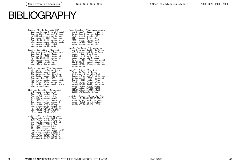### BIBLIOGRAPHY

- Bazian. "Study Suggests HRT Carries Higher Risk of Breast Cancer than Thought." Edited by NHS Website. www.nhs.uk, September 3, 2019. Accessed June 3, 2020. https://www.nhs. uk/news/cancer/study-suggestshrt-carries-higher-riskbreast-cancer-thought/.
- Bedell, Geraldine. "Sex and the over-60s." The Guardian. Guardian News and Media, January 12, 2012. Accessed May 28, 2020. https://www. theguardian.com/lifeand style/2012/jan/12/sexover-60s-older-people.
- Devlin, Hannah. "The Menopause: Why so Little Research on the Middle-Aged Ovary?" The Guardian. Guardian News and Media, August 26, 2019. Accessed May 29, 2020. https: //www.theguardian.com/society /2019/aug/26/the-menopausewhy-so-little-research-on-themiddle-aged-ovary.
- Dintino, Cecilia. "Menopause: a Passage in Search of a Story." Psychology Today. Sussex Publishers, April 5, 2018. Accessed April 24, 2020. https://www.psycho logytoday.com/us/blog/mid life-matters/201804/meno pause-passage-in-search-st ory?fbclid=IwAR1du6tRY5g4y Y81xY90WCZxYOnn5YkvEs8TMs9rpltmygd4ERHz0fePd8.
- hooks, bell, and Emma Watson. "Emma Watson and Bell Hooks Talk Feminism, Confidence and the Importance of Read ing." PAPER. PAPER, June 15, 2020. Accessed April 15, 2020. https://www. papermag.com/emma-watson-bellhooks-conversation-160989 3784.html?fbclid=IwAR1kN0 4zCApoPbMIvKBgDGaDzOdw2Fp-NJrAGamzi5wCcoOvI8UTHALt0io.

Pote, Kaitlyn. "Menopause Around the World." Edited by Elise Schroeder. Women in Balance Institute, September 19, 2014. Accessed May 15, 2020. https://womeninbal ance.org/2014/09/17/meno pause-around-the-world/.

- Ratcliffe, Jane. "'Brokenness and Holiness Really Go Together': Darcey Steinke on Menopause." Edited by Dana Snitzky on June 14. Long reads. Longreads Members, June 14, 2019. Accessed April 20, 2020. https://longreads. com/2019/06/14/darcey-steinkeon-menopause/.
- Russell, Sabin. "Big Study Finds No Rise in Death Risk among Women Who Took Hormone Therapy." Fred Hutch, September 12, 2017. Accessed May 15, 2020. https://www. fredhutch.org/en/news/centernews/2017/09/death-risk-meno pausal-hormone-replacement. html?fbclid=IwAR0hMDa36KB 3QlsRIAjiYvz3iL08BI2rJvUX-GN8t65zY3M9AAzTpK4Xfto.
- Steinke, Darcey. "Night On Fire." Essay. In FLASH COUNT DIARY: a New Story about the Meno pause. Edinburgh, Scotland: CANONGATE BOOKS LTD, 2019.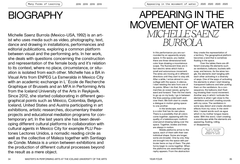# BIOGRAPHY

Many Forms of Learning

Michelle Saenz Burrola (Mexico-USA, 1992) is an artist who uses media such as video, photography, text, dance and drawing in installations, performances and editorial publications, exploring a common platform between visual and the performing arts. In her work, she deals with questions concerning the construction and representation of the female body and it's relation to its context, where no place, circumstance, or situation is isolated from each other. Michelle has a BA in Visual Arts from ENPEG La Esmeralda in Mexico City with an academic exchange in L'École de Recherche Graphique of Brussels and an MFA in Performing Arts from the Iceland University of the Arts in Reykjavik. Since 2012, she started collaborating in different geographical points such as México, Colombia, Belgium, Iceland, United States and Austria participating in art exhibitions, artistic researches, documentary theater projects and educational mediation programs for contemporary art. In the last years she has been developing different cultural platforms in collaboration with cultural agents in Mexico City for example PLU Peatones Lectores Unidos, a nomadic reading circle as well as the collective of Maleza together with Santiago de Conde. Maleza is a union between exhibitions and the production of different cultural processes beyond the result as a mere object.

# APPEARING IN THE MOVEMENT OF WATER *MICHELLE SAENZ BURROLA*

In this performance you are surrounded by an apparently empty space. In the space, you realize there are three-dimensional bold color lines drawing a mountainous scape. The fluorescent lines are in fact electric wires which hold a small and autonomous movement. The wires are moving all in different directions until they start to stay still. After a while, I arrive almost in camouflage with the space. In silence, I start twisting the wire from one of its points. When I do that, the wire marches as ocean waves, going forward and forward. Then the line starts to go up on my body. I go in between the lines passing underneath and over them. We both start to create a dialogue in motion giving space to one another.

In the landscape, each line is a color that has its own place. There is a possibility that all colors come together; appearing with the quality of a kaleidoscopic multicolored pencil drawing taking over the space. Together, bodies and lines are always in motion.

Mobile platforms arrive to the space, each of them with their own individual shape. Some are longer, some are broader. One by one, they are brought into the space with particular items on top of them. The platforms begin to come together. When the platforms are assembled a geography appears. From the abstraction

they create the representation of a territory. The geographical platform becomes a land that is somehow floating in the space.

Over the tables there are different everyday life elements such as ventilators, balloons, buckets with soap, and lemons. As the wires tangle, the elements start tangling with each other activating in a diversity of ways. One of the ways of activating the elements is when I start blowing transparent balloons and later putting them on the ventilators. As a consequence, the balloons start floating showing their round movement. Another way in which I activate the elements is when I get close to the ventilators and start creating sounds with my voice. The ventilators in some way distort and create vibration effects from my voice. In the ventilator, I repeat words such as *agua* which in my mother tongue means water. With this word, I start creating a soundscape while the elements are appearing, floating, rolling, or disappearing.

> The work described here is called Appearing in the movement of water.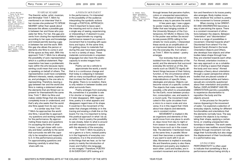1. Erika Balsom, "'There Is No Such Thing As Documentary': An Interview With Trinh T. Minh-Ha", Frieze. Com, 2018, https:// frieze.com/article/ there-no-suchthing-documentaryinterview-trinh-tminh-ha.

2. Trinh T Minh-ha, Trinh T. Minh-Ha, Entrevista, video, 2011, https://vimeo. com/28093375.

*TO SPEAK NEARBY* The theorist, writer, artist, musician, and filmmaker Trinh T. Minh-ha mentioned in an interview<sup>1</sup> that in her movies she preferred TO SPEAK NEARBY rather than speak about because this allows a possible gap in between her and those who populate her films. For her, this gap prevents from closing the representation according to her eyes and knowledge and instead permits leaving a gap in between her and the work. With this gap she allows the person or elements she films to come in and fill the space as they wish. With this approach Trinh T. Minh-ha is allowing the possibility of auto-representation which is a political statement. Representation has been a problematic topic within the arts because representing could mean that one is doing or speaking on behalf of others. The representative could have completely different interests, needs, experiences, and privileges to the one who is representing. Therefore, leaving a gap between her and the world she films is making a statement where the elements that are filmed can represent for themselvesAt the same time, Trinh T. Minh-ha films and makes visible things that she doesn't completely know or understand, and that's why she seeks that the world

In a similar way that Trinh T Minh-ha approaches the world she films, I would like to approach my questions and working materials for the performance. By approximating these topics and questions I'm accepting the limits of what I know, I can get closer with curiosity and listen carefully to the world that surrounds me with the capacity to be receptive and respectful to it. In this performance process, I'm approximating questions and listening carefully to what they share with me.

she films speak from its own voice.

*A POEM IN MOVEMENT* In the performance, I'm interested in the possibility of the audience interpreting the symbolic actions through a POETICAL APPROACH. I find it important to leave open the meaning and not to close it to a single way of seeing, experiencing, or interpreting it. If desired it is possible to approximate my ongoing performance research as a poem in movement that is traveling with questions and topics. At the same time, I'm getting closer to materials that during this year have been speaking to me in a variety of ways. These materials communicate in unspoken languages but also have the poetic capacity to evoke images from the world.

Poetry can be a vehicle to approximate the world, a world that is in a continuous change and that today is collapsing in between with so many sociopolitical urgencies that involves the South and North of the globe. There is no isolation, there is only relation in between bodies and what surrounds them..

Poetry emerges from everyday life, sometimes it is possible to see it for shorter or longer times, even if it later disappears. With regard to time, poetry is in what appears and disappears regard-less of its shape. It could be in the movement of the water that changes infinitely or in the tracing and erasing a chalk line on the board. For me, it is important to bring this poetical approach in what I do as an artist. I find in poetry the possibility to see closely, listen to what is around and with respect compose in space with the elements of the everyday.

For Trinh T. Minh-ha poetry is not a genre or a form, instead poetry is in the fragments of everyday conversations, it is in the environment, in the things that we hear, so for her poetry is mainly the introduction of music and rhythm into language or into images.<sup>2</sup> Therefore, POETRY IS IN EVERYDAY LIFE looking at it

3. Ahmed, Sara, Queer phenomenology, Orientation, Objects, Others, USA: Duke University Press, 2006, 54.

through lenses that perceive rhythm, colors or unexpected associations. Then, poetry instead of being a form becomes a way to perceive the world.

A few years ago, I saw a gigantic poster made by the artist Jeremy Deller that was hanging outside of the University Museum of the Contemporary Art MUAC in Mexico City. In the poster was written *Se necesita más poesía* (2015) calling to the streets for more poetry. I interpreted these words as an amplification of an imprisoned desire to look deeper into the everyday life, from where – as Trinh T. Minh-ha stated – poetry emerges.

Our everyday-lives are not isolated from the complexities of the world, and the elements that surround everyday life remind us of this. Elements such as OBJECTS signify different things because of their history, function, or the circumstance where they were produced. The objects are materializations of specific times, ideologies and places. Objects can become voices of a specific context. The objects that make modern life possible, a life which is unsustainable for the Earth, move between production, consumption, use, and waste in a round cycle. The movement implicated in this cycle circulates from a micro to a macro scale and vice versa. It is in this regard that I think about how objects and elements are in constant motion.

MOVEMENT is implied in life as organisms and elements of the world move from one place to another, days move from day to night or from season to season, the natural forces move such as in the ocean tide. The elements I mentioned move at the same time, in parallel. Movement then becomes a complex term if you want to work with it as an idea. Movement is implied in everyday life and therefore poetry is also there. Movement and poetry are implied in each other. Land and bodies, are in constant movement and transformation and therefore in its traces poetry also emerges. Body implies movement, whatever the context is, poetry in the movement is forever present.

When moving, to be ORIENT-ED AND DISORIENTED becomes a way of perceiving the space. There is a constant movement of attractions between the objects. Between "orientation" and "disorientation" there is a range of possibilities in movement. Oriented towards what? Disoriented from where? For the theorist Sarah Ahmed in the book *Orientation Objects and Others*, she develops how objects and other bodies takes shape through how they are oriented towards each other. For Ahmed, orientation involves a two-way approach or as a cohabitation of sharing a space that shapes the body and vice versa.<sup>3</sup> Ahmed develops a theory about orientation through a queer perspective where bodies that are placed outside of heteronormative (white and heterosexual) are constantly questioned about their orientation and position. Rather, DISPLACEMENT AND RE-ORIENTATION permits a possibility to experience disorientation to reposition the body and the objects around.

In the process for the performance *Appearing in the movement of water*, I've explored a selection of everyday objects, looking for different functionalities and orientations that the elements normally have. The way I explore the objects is by manipulating their shape, applying a certain force, or creating unexpected relationships in between. The work seeks to produce new realities around these objects through movement–not only stage their functionality but also stage the displacement of their functionality in a performative way.

#### *LIVING FORM*

PERFORMATIVITY is often used to indicate that something is like a performance without being strictly a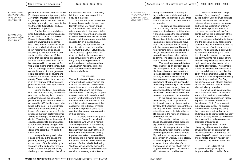4. Butler, Judith, Sex and Gender in Simone de Beauvoir Second Sex, USA: Yale University Press, 1986, 35.

5. Austin J.L., How to do things with words, London Oxford University Press,1965, 6.

performance in a conventional sense. For the performance *Appearing in the Movement of Wate*r, I was interested in getting closer to the term performativity by studying the concepts that the theorists Judith Butler and J.L. Austin have proposed.

For the theorist and philosopher Judith Butler, gender is a social construction such as Simone de Beauvoir stipulated before "one is not born a woman but becomes one."4 This means that an individual is born with a biological sex but this is raw material that takes shape according to the performative and social practice of gender. Butler states that gender is a rehearsed act that carries a script that has to be interpreted in order to exist. By this, Butler means that the individual from an early age learns to interpret gender in terms of voice, gestures, social appearances, behaviors and all social brands built from the community. These codes place the body in an environment that censors expressiveness and identity outside of heteronormativity.

During this time, I also got closer to this term according to the ideas proposed by the linguist J.L. Austin. Austin introduced the concept of performativity in a conference which occurred in 1955 that later was published in the book *How to do things with words* in 1965 becoming an iconic reference for the arts. Austin proposed the term performativity referring to—saying is also reality-producing. "To utter the sentence (in, of course, appropriate circumstances) is not to describe my doing of what I should be said in so uttering to be doing or to state that I'm doing it: it is to do it."5

In regards to my work, when I place my body in the space and perform, my body is evoking the construction of the female body in the gaze of the audience. Through Butler's concept of performativity, the body is not neutral and therefore

the social construction of the body is intrinsic when working with the body as a material.

Further to that, I'm interested in using the expanded term of performativity that J.L. Austin brings to prominence in the sixties that the arts appropriate. In *Appearing in the movement of water*, the performance is also in the elements not just in the human body therefore performativity is applied in an expanded way.

During the performance, performativity is present through the EPHEMERAL SCULPTURES I build. The sculptures happen when I explore the life that the elements acquire through moving them with my body or by creating relations of action and reaction between them. As activation happens, elements lose their first state in a chain of effects and affects.

#### *TERRITORIES*

The exploration of objects happens over a symbolic territory which permits the possibility to contextualize on a micro-macro type scale where the body, stories and the present are intertwined. This project proposes an experience to transform and search for alternatives with the ordinary elements that are around. For me, it is important to represent the capacity of the individual immerse into their everyday life scale as an agent of change and transformation in their context.

The shape of the moving platform comes from a former drawing I did around 2016 which is named *Americas por el sur*. In this drawing the American continent is coming together from the south of the continent. The Americas were coming together as a reflection sewed by the south, like in a mirror, simulating the shape of some kind of intestines. A friend of mine called this drawing "La tripa" which actually means the intestines. In the intestines movement remains processing abstraction and

6. Verónica Gago,<br>*La potencia feminista* o el deseo de cambiarlo todo, Spain: Traficantes de Sueños, Mapas, 2019, 97.

vitality for the human body acquiring nourishment and discarding the unnecessary. The land as a vital organ that processes and discards humans as parasites.

This drawing now gets materialized in a moving platform that when it separated it's abstract, but that when it ensembles gains the recognizable shape of the American continent. The continent floats over the ground in a game of camouflage and movement. The continent moves floating with the elements on top. The continent remains almost invisible as the land, in thesense that we take for granted its existence when walking and living. The platform permits elements that can stand and cohabit.

The way I represented the territory was first as an abstract space, with a shape that is not recognizable. Later, the unrecognizable turns into a shaped representation of the territory as a map. In this sense, I am interested in supporting other projections of territories in maps by dislocating the territory. In the territory I present there is a long history of violent exploitation, extractivism, and colonialism that is still applied in the name of progress and modernization.

In this sense, I am interested in supporting other projections of territories in maps by dislocating the territory. In the territory I present there is a long history of violent exploitation, extractivism, and colonialism that is still applied in the name of progress and modernization.

The moving platform has the shape of abstract borders that actually don't correspond to the accurate ones. An imaginary trace of the limits of a land, from where to where something starts and where it stops. My desire for this representation comes from an urgency to get closer, to listen deeper to the territory as a carrier of eternal stories of extraction and as carrier of alternatives to generate changes in the relationship between land and bodies.

The compacted term *cuerpo -territorio* [body-territory] proposed by the theorist Veronica Gago makes evident the relationship that exist between violence against the female body and the exploitation of land.<sup>6</sup> In the book *La potencia feminista o el deseo de cambiarlo todo*, Gago points out that the exploitation of the commons, in urban and rural areas, involves violence to both the individual and the collective body. Gago exemplifies the idea with the example of the dispossession of water from a community. The community is deprived of its own resources facing the difficulties of privatization such as forcing the community to make great efforts to travel long distances to access the basic services such as water, all in the name of progress. This example shows the violence that is exerted on both the individual and the collective body. At the same time, Gago points out that the relationship between body and territory is intrinsic. For Gago, the compacted term of body-territory forces the idea that there is no one who lacks body or territory.

Veronica Gago also mentions that a manifestation of colonial violence is the one that is exerted on the body by dividing between "knowing" with the mind in the hands of the elites and "doing" as a modest subordinate resource. The dissociation between knowing and doing then becomes a patriarchal tactic of domination to domesticate the body and the territory as well as to discredit the power of the body as a precise producer of knowledge.

During this time, I've been dialoguing with some of the ideas of Gago through an exploration of the representation of territories between the platform with the abstract and concrete shape in relation to t he body and the elements around it.

#### *GETTING CLOSER*

To speak nearby gives space for gaps to be filled outside of me.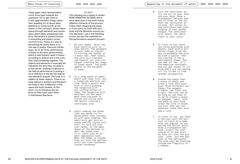These gaps make representation much more open towards the questions I try to get close to. In this approximation things rather than speaking for or about allow elements to come and fill up the space. In this coming in, poetry takes space through elements and compo sition which allow unexpected rela tions. Movement is present forever in everything and poetry comes out from it too. Poetry is a way of perceiving the world, there is no one way in poetry, there are infinite ways. As an art form, performance is linked to the term performativity which is also broad in what it means according to authors but in the core, they hold something together. The objects and elements in everyday life represent the time they circulate in, in that sense, creating sculptures in the field of performance is putting a lot of attention to the life the objects and elements acquire. The body is in relation to these objects. There is no body without a territory and therefore the body is also a reflection of the space the body inhabits. At this point, I try to introduce the objects so they touch each other in intertwined directions.

*SCORES* The following are a series of written PERFORMATIVE SCORES which have taken part of the work during different moments of the process. Follow them imagining the steps, or if you want, try them with your body and the elements around you. The elements I use in the following scores are also the materials for this performance research process.

- 1. On your knees, twist the blue electric wire in slow motion. The movement in your hand is similar to turning the handle of a music box. Then slowly, the wire will transmit the tension all over its length creating the image of ocean waves. The waves appear in the movement of water.
- 2. In a long sheet of paper where your body fits, put a tangerine wherever you like. Hold a pencil and with it start pushing the tangerine with out lifting either of them. The tangerine will manifest its own move ment that you have to listen and follow with the pencil tracing a continuous line.
- 3. Start rubbing the green lime and sense its in tense smell that increas es with each rubbing. The smell will get very in tense and the liquid will start to flow all over your hands. In the open space of the balloon in sert the lemon even if it looks like an al most impossible task. When the lemon is inside, blow air into the balloon until you find roundness inside roundness.
- 4. Turn the ventilator on. Try the air on your face and your body. Blow a transparent balloon and let it float on the air that the ventilator ac tivates. Get closer to the ventilator and start singing in your mother tongue. The ventilator will modify the vibra tions of your voice.
- 5. In front of you there are three platforms with wheels, Each with a dif ferent shape. Find the way to ensemble the piec es like a puzzle. Then you realize it has a continental shape. Did you see it? Yes, it's the American continent. Did you get closer to it? From where are you seeing it? Try to see it from another perspective.
- 6. Inside one space take a piece of chalk and trace a line that occu pies three different sur faces, for example a table, the floor and a wall. The line can be as long as you need it to be to create a space in between. Later, with the palm of your hand erase the line of chalk, you will then see the nebulous cloud that once was a line.
- 7. In front of you, you have a red star with the pic ture of Lenin as a baby that was popular to use during the Soviet Union. Grab a transparent bal loon, insert the star inside of it and start to blow air into the bal loon. Later, put the bal loon in the ventilator. The star will be floating inside the fragility of a bubble.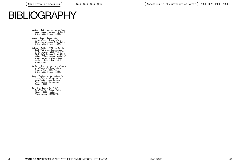# BIBLIOGRAPHY

Austin, J.L, How to do things with words, London: Oxford University Press, 1965.

- Ahmed, Sara, Queer phenomenology, Orientation, *Objects, Others*, USA: Duke University Press, 2006.
- Balsom, Erika. "'There Is No Such Thing As Documentary': An Interview With Trinh T. Minh-Ha". Frieze.Com, 2018. https://frieze.com/article/ there-no-such-thing-docu mentary-interview-trinht-minh-ha.

Butler, Judith, Sex and Gender in Simone de Beauvoir´s *Second Sex*, USA: Yale University Press, 1986.

Gago, Verónica, La potencia feminista o el deseo de cambiarlo todo, Spain: Traficantes de sueños Mapas, 2019.

Minh-ha, Trinh T. Trinh T. Minh-Ha, Entrevista. Video, 2011. https: //vimeo.com/28093375.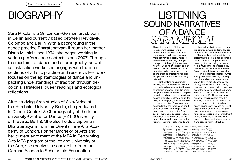Many Forms of Learning

# **BIOGRAPHY**

Sara Mikolai is a Sri Lankan-German artist, born in Berlin and currently based between Reykjavik, Colombo and Berlin. With a background in the dance practice Bharatanatyam through her mother Diana Mikolai since 1994, she began working in various performance contexts since 2007. Through the mediums of dance and choreography, as well as installation works she engages with the intersections of artistic practice and research. Her work focuses on the epistemologies of dance and unpacking understandings of tradition through decolonial strategies, queer readings and ecological reflections.

After studying Area studies of Asia/Africa at the Humboldt University Berlin, she graduated in Dance, Context & Choreography at the Interuniversity-Centre for Dance (HZT) (University of the Arts, Berlin). She also holds a diploma in Bharatanatyam from the Oriental Fine Arts Academy of London. For her Bachelor of Arts and her current enrolment at the MFA in Performing Arts MFA program at the Iceland University of the Arts, she receives a scholarship from the German Academic Scholarship Foundation.

### LISTENING SOUND NARRATIVES OF A DAN *SARA MIKOLAI*

Through a practice of listening, I engage with various layers, which inform, influence and shape my approach to dance. Listening more actively and deeply helps to perceive dance not only through the eyes, but through the sense of hearing. By doing this I learn to stay present, unlearn and relearn meanings attached to the sound source, as the practice of listening requires an openness towards what is being listened to.

Listening

Not seeking one particular answer, this practice developed from my continued engagement with epistemologies of dance: a field in particular pressured by questions of representation and gaze, as it is an art form dealing with what is closest to us: the body. I am engaging specifically with the dance practice Bharatanatyam, a descendant of the temple and court dances of India.<sup>1</sup> The temple and court dance practice of the Devadasis – the temple dancers -, which is referred to as the origins of this dance, has gone through a complex history of varying local contexts and

> 1. The term India compresses a tremendously wide geo-graphical area with an enormous variety of languages, practices and groups under one national umbrella and it remains a challenge to use one word which simplifies this complexity. I have found the scholars Ruth Vanita's<br>introduction to her use of the term in her writing<br>very useful and shall follow her example: *The term in<br>its current form is of relatively recent origin - the* composers of the Vedic hymns (in the period beginning ca.<br>1500 B.C.) did not think of themselves as "Indians". Like<br>many other terms, such as "Hindu" and "Buddhist," it has been applied with hindsight to peoples of the past who did not apply it to themselves. While we are aware that the term, like all terms, is a historical construct, it would be too difficult, for us and for readers, to avoid it or to try to use, in each case, the labels that the writers of these texts may have used for themselves."

realities, to the abolishment through the colonial powers and is today performed as this reinvented form known as Bharatanatyam. After training and performing this form since childhood, I took a break to comprehend the meaning of a form being developed from a ritual dance to what is today called a classical dance and the confusing contradictions it comes with.

In the chapters that follow, this writing addresses how my listening practice enables me to reenter the vocabulary, music, philosophy, mythology and science of the dance, to unlearn and relearn what it teaches about the body, as well as the body's inner and outer relations in dance and everyday life. The writing makes space for thinking about how this listening practice can be understood as a proposal to both critically and openly engage with passed on knowledge through decolonial strategies, queer reclamations and ecological reflections. Insisting on a commitment to this dance and other music and dance practices related and close to it and staying with the trouble,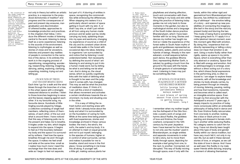not only in theory but within an artistic

but part of it. A blurring of entities in

2. The invention of the terms tradition and progress as words themselves are largely responsible for this dichotomy. This is a critique scholars fortunately have attended to for several decades already. However, I will refrain here from direct quotation, as there is a complex back and forth of well formulated arguments and equally exclusions in this debate, such as indigenous practices.

practice, is a response to the prejudiced dichotomies of *tradition*<sup>2</sup> and *progress* and the consequences of past and present day erasures, marginalisation and discrimination of *othered* bodies, approaches to knowledge production and practices. In the chapters that follow, I introduce the different modes of listening central to the work: listening to dance itself as a sonic experience; listening to the sounds of the environment; listening to mythologies as well as stories of close and far ancestors, histories and present-day realities of people in connection to the narrative of this dance. In its entirety this work is in the ongoing process of repositioning, renegotiating, wondering, researching, listening, imagining, dancing, asking, exploring, clarifying, unpacking, insisting, trying out and letting go.

#### *ON SOUNDS OF TREES*

*AND TRANSFORMING SKINS* Each time I go for a walk and the wind blows through the branches of a tree, in the urban space with a strangely measured distance to another, I listen to those branches beginning to wave and the leaves clapping against each other. It is my favourite song, my favourite dance. Hundreds of little tingling sounds played by foliage, a collective consisting of single leaf members, reflecting colors of themselves, of each other, of the sun and what is around them. I have noticed that this way of listening pulls me to the present and helps me to breathe. It tingles under my skin, which begins to expand into the space. It begins to feel as if the boundary between my body and the space it is surrounded by softens. I feel how the space breathes through me and I through the space. It makes me feel small and wide at the same time: small as I realize how much more I need this exchange than the tree does and wide as I begin to feel not separate,

space, recognizing the commonalities while embracing the differences. When stepping into waters it is a particularly vibrant version of space getting in touch with my skin. It, or shall I say she, or shall I just refrain at all from using any human-made pronoun and let water just be, kindly carrying my body, splashing drops into my eyes and eardrums, changing my experience of sound as a child of the city and its constant urban drone. I would take walks in the forest with occasional dips into lakes, listening to organisms I am surrounded by and notice that by listening I could understand better. Not necessarily by defining the sound of what I am listening to and aiming to put it into a human-made word, but by letting be what is and letting me be what I am. And in doing so, the visual sense, which so quickly cognitively links with the habit of defining what is thought to be seen and the judgment it comes with, has changed. This may as well be what the practice of meditation does. If I think of it, I can call this a kind of meditation, that allows movement and activates a certain mindfulness towards the environment, my body and situating one in the other.

It is a way of hitting the refresh button and starting anew with what I think I already know about the body and what it is surrounded by on the foundation of caring for both. While at the same time being present with lived experiences, stories and knowledge archived in these various bodies: the tree's, the wind's, the soil's, the water's *and my body*. It is an attempt to meet on equal grounds and not to put myself, belonging to the species of humans, higher or in control of what surrounds, carries and makes it possible for me to breathe, stand and move in the first place. I know something in me knew this all along. A younger self, a little girl, making various plants her

3. Mudra means to seal, mark or gesture in Sanskrit and are hand gestures used in many Indian dance traditions used for both abstract dance and story telling. Yogic and tantric ritual practices also include mudras to intensify the effects of yoga or meditation, enhancing the flow of energy. Today's use of mudras in dance, yogic and ritual practices are distinct in each practice and a comparison requires a study of its own.

4. The Natya Shastra, a Sanskrit text on performing arts, explains abhinaya as abhi - towards, and naya - to carry: to carry the spectator towards the meaning.

5. "Rasa is an Indian concept of aesthetic flavour and an essential element of any work of visual, literary, or performing art that can only be suggested, not described. It is a kind of contemplative abstraction in which the inwardness of human feelings suffuses the surrounding world of embodied forms." (Britannica) playfellows and sharing affection, touch and conversation with them. The feeling in my body and skin while doing this practice of listening today guides me not only back to those moments in the garden, but also to mythological stories and a language of the South Indian dance practice Bharatanatyam, which I have been familiar with for so long. Stories and dances my mother has taught me. And so I relate the experience of the forest walks to South Asian myths of gods and goddesses represented as mountains, waters, plants and curious hybrids of beings. Already in the *namaskaram*, a small sequence before each dance, the goddess Bhūma Devi, representing Mother Earth, is saluted, by guiding a touch from the ground to the eyes with the hands. A simple gesture of acknowledgement. Listening to trees may just be something like that.

#### *OF SONGS, FLUID BODIES, TEACHINGS OF A MOTHER*

*AND BLURRED BORDERS* lalita lavanga latA pariSeelana kOmala malaya sameerE A cool breeze of spring season from clove bushes is gently blowing. Ashtapadi, song 3

I remember when my mother taught me the Asthapadi of the Gita Govinda: a poetry work of songs and hymns about Radha, the goddess of love and Krishna, the forest cowherd, composed in the 12th century by the poet Jeyadeva: here I have learned for the first time to not only use the *mudras*<sup>3</sup> used in Bharatanatyam, as single entities and separate movements in order to tell a story, but to move them fluidly through space, depicting for example a leaf going from one, to the next, to another. Connected, not disrupted. This way of fluidly moving through space, even if only with the

hands, within this rather rigid and geometrical form Bharatanatyam has become, has shifted my understanding of *abhinaya*<sup>4</sup> - the emotive telling of a story - and opened up new possibilities of connecting the imaginary (the leaf in the story) and the real (my present body) and blurring the two. This mode of being fluid is something I keep going back to. If I apply it in a *nritta* (abstract dance) moment, even this moment gets filled with emotion. By doing this, I experience that not directly representing or telling a story does not mean that emotion is absent. Using a mudra fluidly rather than rigidly, opens up space in my joints. Space, which is everything other than only abstract or anatomy. Space that is filled with energy and emotion. And so *abhinaya* begins to emerge, even without a direct acting out of a story line, which *bhava* (facial expressions in the performing arts), is often reduced to. I am eager to explore these moments, with all the knowledge and stories my body already carries, by being present through an interplay of moving, listening, pausing, resting and how that transforms, transmits and becomes what is called *rasa*<sup>5</sup> , an intangible emotive space. Even though my first encounter with the Ashtapadi is around 17 years ago, it deeply impacts my practice of today more consciously within an embodied philosophy of being fluid in dance and life. Even Krishna fluidly reincarnates from one body to another, looking like a blue or black prince in one painting and dressed in female clothing in another while seducing Radha. No category seems to catch him for long. I have not directly been taught about this type of body and gender fluidity within our dance tradition, but have very much felt it, not only in my own life, but as well in these danced stories of love, or *sringara*, as we call the state of love in dance. And I have as well seen this fluidity in my male queer friends while dancing, enjoying a moment of allowing themselves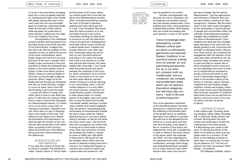to move in that way before changing back into a more accepted masculin ity. Undressing the light cotton textile with pleats waving with each move ment, back into the uncomfortable jeans of modernity, restricting fluidity within the bounds of their seams, while we guess the queerness of other dancers, smiling over the edge of an over sugared cup of tea.

The popularity of the Ashtapadi crosses borders and boundaries from the deep South to the North and East of the subcontinent. I imagine that this has to do with the qualities of the narration of love, as well as the sound of the music compositions, which fluidly merge and melt from one tone and word to the next. I wonder if this fluidity is also connected to the local practices of where the Ashtapadi was written, in the north-eastern area of Orissa. In their local dance practice Odissi I observe a sensual fluidity of the body curving through sculptural postures. When I began to let the fluidity learned through the Ashtapadi sink into my chest and hips, it began to curve my spine, which soon felt like throwing a stone into the water - a cause and effect of waves and shifts until it is time to rest. What hap pens, if I take this into a dance? What does it mean to dance this Ashtapadi as a Bharanatayam dancer, if it invites me to curve and in a way claim an interplay of activation, relaxation and rest, which also is a way of listening: here to the needs of the body. This reflection has helped me to rethink the boundaries and separations cre ated through the borders of the colo nial and neocolonial idea of the nation state, by looking at the commonalities and influences of the different dance practices, while embracing the differences.

#### *ECHOES OF CLOSE AND FAR NARRATIVES*

In my case the context of those Indi an forms is complex: the shared Dra vidian, Tamizh culture of Tamizh Nadu

and the island of Sri Lanka, where my mother would fall in love with the dance form Bharatanatyam and like other comrades would bring it passed the forts of Europe to Germany, seeking new hope, which got lost to a war in her homeland. She would pass this dance practice on to me and fellow friends in her school. I remember bending my head down to marvel at my own tiny feet drum ming on the ground in kindergartens and public school rooms turned into a dance studio every Tuesday and Sunday afternoon, year after year. And I remember being very proud that my very first dance lessons took place in Sri Lanka: the image that is left in my memory is of small feet adorned with *kolussu*, thin silver anklets with a few bells. I can't recall what this pride exactly was about: perhaps the closeness to the coun try, which cherished it as an art form, made it more precious to me, than the then quite oblivious German society driving us to remain dancing in our communities. Here, in the Sri Lankan diaspora, it is a very differ ent social scenario compared to its predominantly opulent counterpart in India, where today it is mostly women of the higher class and castes who occupy the performance halls. I remember weekly sharings of potato chips, Vaddais and stuffed vegetable rolls, the parent's nauseating gossip and laments of homesickness outside the dance class, while the children dedicate dances to and about deities sitting in temples, as well as lost lands they have never seen. I did not know then how courageous my mother was to bring me to those lands in person every other year and show me what we translate and shelter in margin al rooms of 1980s and -90s Berlin. In those years I still would not see the temples, which rather were the homes of relatives hosting short-term reunions. For making this happen as a person who could not easily snap

a plane ticket into existence, I will

ever be grateful to my mother. Another choreographer has become not only an inspiration, but an imagined conversation partner, who has already passed away: Chan dralekha had many critical questions towards Bharanatyam, while staying with the trouble and dealing with each question in each of her works.

I have increasingly been disturbed by current Western critical opinion which so effortlessly glamorizes and valorizes Eastern 'traditions' in an uncritical manner entirely from an oriental- ist' and patronizing perspective. For us, in our East ern contexts, both our 'traditionality' and our 'modernity' are complex and problematic areas which are not abstract theoretical categories but real every day con cerns – both of life and of performing arts. 6

One of the alterations attributed to the time Bharanatyam has been declared as a classical dance, was the stiffening of the flexible spine of the temple dance, an aesthetic idea taken from ballet.It is said that this was due to the despised erotic nature of a curved spine and Ruk mini Devi Arundale, a key figure in the re- invention of the dance, has replaced the curve with a straight line in order to abstract the erotic nature of the dance, which the Icelander Jón Ólafs- son also stigmatised in his influential travel notes. While this modification, amongst other things, has made Bharatanatyam possible as it is today, there too were other dancers who came from the tem -

ple dance lineage, like the dancer Balasaraswati – and the approaches and intentions of Rukmini Devi and her were distinct, starting from their background. However, like the mech anism of the nation state homogenis es the uniqueness of various groups of people and communities under one umbrella, these distinctive aesthetic lineages were swallowed up under the name of Bharatanatyam. Chan dralekha has dealt with this strategic spine alteration in her work and I am deeply grateful to her critical eye and strength to withstand harsh critiques from close and far. But somehow her engagement with the question of the spine also feels unfinished to me. My practice today inevitably also listens to past and lived on stories, like of those remarkable women close and far and negotiates how much of them are to respectfully be remained in private archives and which to pull out to contextualize single biogra phies to the broader making of the history of colonies, nations, dances, imagined and real temples, stages, migration, homes and longing. Listen ing to their stories and understanding their immense capacities of resilience within their times and as well their lim itations, informs so much of not only my dance, but also my pause to dance.

#### *LISTENING TO DANCE*

A ball, inside a ball. Thrusting, strok ing, banging, rolling, falling. Standing still. A metal ball, inside another ball of brass. Moving when the body moves and continuing to stroke the coating even if the body pauses. It is like hearing one's pulse in stillness. Or hearing the waves of the water in the distance, when one just quiets down for a moment. Or the birds, or the clapping of leaves on each other on a windy day. Or hear ing the absence of it. The bird not present, the trees not present. Other beings – not present.

The *Salangai*, footbells, used in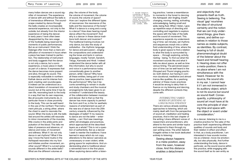many Indian dances are a sound sig nifier of movement. The experience of dance with and without the bells is of tremendous difference. The sound scape created by dance through the bells creates an incomparable sensorial experience, not only to the outside, but already from the interior experience of being the dancer. In early years I have often been disappointed by the rare usage of the footbells being reserved for moments of public performances. But as an instrument I think the Salangai offer more than a mere am plification of movement in hours when a piece has been trained to perfec tion. The relationship of instrument and body suggests that the dance is not only a dance, but a sonic experience, a music piece in itself, as part of a dance. It expresses that the dance becomes more present and alive, through its sound. This is especially noticeable in northern Kathak dance and its intense foot work creating vast soundscapes. It indeed can be understood as a direct translation of movement into sound, but at the same time it has its own life, resonating back to the body in a way that has its own response, like all acoustic instruments do, in particular those in close proximity to the body. This can be well heard in the use of the northern Thai instru ment *phin pia*, a string zither, where the chest is used to resonate the sound. When the body is still, the bells tied around the ankles still resonate to minor movements of the muscles, little cracks in the ankle joints and pulsation of the blood. This tells me tales of presence and absence, of silence and noise, of movement and stillness. What if I do not only dance in set rhythms? What if the way I move the hand mudra in the Ashtapadi resonates into my foot and initiates another movement, an other sound? What if a curved spine sounds different in the ankle bells? What are the different volumes at

play: the volume of the body, the volume of movement, the volume of sound, the volume of space? How can I explore the different types of resonances: the resonance of the bells and the resonance of the body? What if a dance is a song and a song is a dance? How does hearing myself dance affect the movement? And why is a dancer in these dance tradi tions both dancer and musician? The traditional training involves not only dance, but also the study of *sollukattus* - the rhythmic language for dance and percussion-, singing the compositions and understand ing the tones and texts in various languages, mostly Tamizh, Sanskrit, Telugu, Kannada and Hindi. I indeed understand the dance better with all this information, but why is sound and voice in a performance today conventionally given to another person, while I dance? Why have all these entities, being part of one dance practice, been separated in the performance? Why has it be come something to remain in studio and study chambers and the musical arrangements fully been given to an orchestra? I understand the beauty of the collaboration between musician and dancer. But is that so that the dancer has more capacity to perfect the form and if so, is this for aesthetic reasons of entertainment as part of the new era of dance from the 20th century onwards, influenced by the ideologies of ballet? If my reasons to dance are not the latter – enter taining -, can I find new meanings within old strategies and practices, which approached all the described layers as a whole? This is not a ques tion of authenticity. But as a dancer I seek to reenter the traditions I have learned in ways which do not copy alterations to the dance I perceive as unnecessary or even violent, while giving space for explorations. And un derstanding what is traditional about a reinvented form in the first place. When exploring dance within a listen -

7. Salomé Voegelin.<br>*Listening to Noise* and Silence; Towards *a philosophy of<br>sound art*. The Continuum International Publishing Group Ltd. London, 2010.

ing practice, I sense a resemblance to moments in the forest to dancing the Ashtapadi: skin tingling, breath changing, moving, resting, activating, acknowledging, feeling small and wide, being fluid. When I listen, I give up repetitive ways of directing and controlling and negotiate to explore the space with the help of the bells and the sound of movement. This experience expands my understand ing of time: set minutes, set rhythms and sequences morph into a rather fluid understanding of time, where the body is given space to find a relation to what the body is surrounded by space - , through exploring, activity, resting - being. To find out what the movement sounds like and what it tells me about space, as well as time versus timing. The perceived expan sion of time can be well heard in the *Dhrupad* and *Thumri* singing practic es: both distinct, but having in com mon durational, meditative and almost trance-like qualities. As a yearlong admirer of these music practices it would be wrong to deny their in fluence on my listening and dancing, despite the different contexts they come with.

#### *INTERSECTING VARIED MODES OF LISTENING AS A DECOLONIAL STRATEGY*

There are various already existing approaches to listening, which are mainly dealt with from the perspective of sound art, meditation and healing practices. And in this last chapter of the writing I share different voices of researchers and practitioners, who attend to the same and similar topics and respond to them through my own writing voice. The artist Salomé Voegelin writes in her book dedicated entirely to listening:

Seeing always happens in a meta-position, away from the seen, however close. And this distance enables a detachment

and objectivity that presents itself as truth. Seeing is believing. The visual 'gap' nourishes the idea of structural certainty and the notion that we can truly under stand things, give them names, and define our selves in relation to those names as stable subjects, as identities. By contrast, hearing is full of doubt: phenomenological doubt of the listener about the heard and himself hearing it. Hearing does not offer a meta-position; there is no place where I am not simultaneous with the heard. However far its source, the sound sits in my ear. I cannot hear it if I am not immersed in its auditory object, which is not its source but sound as sound itself. Conse quently, a philosophy of sound art must have at its core the principle of shar ing time and space with the object or event under consideration. 7

As a dancer, listening to me is a creative practice for the sake of the practice itself: experiencing different qualities of sounds and body and their relation in effect and affect. In that, as a body practitioner, I am interested in how sounds involve me as a listener, move me emotion ally, but also physically. And further understanding the body, dance in particular, as the sound source within this practice, while engaging with the sound itself as its own entity as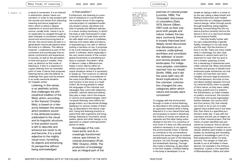8. Voegelin, 13. **a result of movement. It is an interest III III POSILION. Example 18. 19. 19. Milliam** (Bill) in abstraction, where I leave out narration, in order to stay present with the sounds and refrain from attaching meaning and hence judgment on them, which is where a deeper experience of sound and hence its source, usually ends. I leave it up to an exploration to navigate through an open interplay of movement creating sound and sound bouncing back to the ear: the sound stops (at least in a generalized volume perception) when the body is in stillness. This silence however, I understand as part of the movement and soundscape that explores contractions and expansions of sounds, as well as the perception of time and space it creates. However, as abstract as this mode of listening is, it also is a response to a gaze *othering* from an orientalist point of view. A dance that proposes listening hence asks the listener to challenge their gaze and be present in an audio-sensorial situation. As Voegelin writes:

Listening, in this sense, is an aesthetic activity that challenges the philosophical tradition of the West, which, according to film theorist Christian Metz, is based on a hierarchy between the senses which positions sound in the attributal location, sublimated to the visual and its linguistic structure. In that position sound is left to describe and enhance but never to do and become. It is a small adjective to the mighty visual noun, furnishing its objects and enhancing its perspective without being acknowledged

in that position.<sup>8</sup>

Furthermore, this listening is a practice of resistance in a world where the constant drone of the ongoing colonial project of capitalism/modernity drowns voices, narratives and lives of people and different species in a never-ending machinery, in which the body is fully mechanized in order to be part of it: to quiet down and listen with depth and care to subtleties, silences and noises alike and dance, is empowering to me, with or without putting a narration on top. It proposes to be a soft resistance within a harsh world. A softness, which especially in the very recent events of the current global movements is everything but easy to maintain. And when I write of silence I make a difference between a sonic silence within an artistic practice, to staying silent in unjust situations where it is necessary to speak up. The construct of national umbrella languages, inconsiderate of the many local differences of the use and function of the word, is in itself violent. By forcing people to adopt the languages of the colonizer and ideologies they come with (objective, scientific, rational, heteronormative), they play a major role in the erasure of various local epistemologies. Here I propose listening, even before language enters, as a decolonial strategy applying it to various modes of listening, as described in the above chapters. Using this listening practice to spend time with organisms and living beings, listening to mountains, winds, waters, plants and other beings, is my approach to unlearn anthropocentric points of views.

Knowledge of the colonized world, and its increasingly transformed nature, was intrinsic to colonial domination (Pratt, 1992; Drayton, 2000). The production of knowledge was an integral part of the Listening

2019 2019 2019 2019 2020 2020 2020 2020

(Loomba, 1998). The 'Orientalist' discourses of colonialism (Said, 1978; Moore-Gilbert, 1997) took as their subjects both people and nature. Indeed, the two were commonly linked in loosely theorized (and deeply racist) discourses that dismissed as unordered, undisciplined, worthless and uncivilized the 'wildness' of exotic and remote peoples and landscapes. For indigenous peoples, colonialism reached 'into our heads' (Smith, 1999), and it did the same (with very different implications) for the colonizer: colonization changed the very categories within which nature and society were conceived.9 To engage with the environment

exercise of colonial power

through a mode of active listening, as described in this writing, requires an openness towards what is being listened to in a non-hierarchical way and proposes to assist in dissolving the notions of human and *nature* as separate and the latter being subordinated to the first. It is a practice of love. Even if it does not offer practical solutions necessary to act against the environmental crises, it intends to contribute to the conversations around the issues through an embodied philosophy as part of this listening practice, not only through cognitive, but kinaesthetic learning. Through this mode of listening, as described in the first chapter, a shifted feeling in the body is developed. It is as

simple as taking a walk in a forest or by the sea, taking a deep breath and feeling transformed, even healed. I perceive this as a dialogue between various beings: rather through words, through breathing, being together, listening. Incorporating this into my dance practice certainly informs the dance in form of a new found temporal and physical fluidity.

I link this fluidity further with my own understanding of gender fluidity, knowing it in my own body and the way I live the practice of love in my life. There are many subtle hints in mythology, but also clear evidence in various texts and it is important to note, that my work is not a modern queering of texts but a reentering of abandoned ones under colonial rule. Many precolonial societies and groups of people have embraced queer existances not only in myths, but had their own terminologies and even legal protections. The Kamashastra, the book of love and desire (written between 3rd and 1st centuries BCE), refers to people of third nature, as they were called, as tritya-prakriti and it is stated in the Arthashastra, an Indian treatise on politics, economics, the function of the state and social organization (written between 3rd century BCE and 2nd century CE), that nobody can insult or do an act of cruelty against tritya-prakriti and if one does that, then there is a specified punishment under law.. It was with the colonizers and the use of religion as part of their colonial project, that the notion of queer identities was perceived as unnatural. And so decolonizing relationships of *natural* and *unnatural*, whether plant bodies or queer bodies, by reclaiming and rereading passed on knowledge is part of my fluid explorations within my body practice. The merger of male and female is not at all hidden in these dances, for example in the Arthanareeswarar, a piece in the repertoire of Bharatanatyam, Odissi and other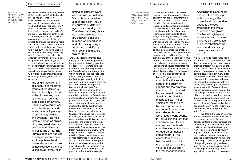10. Ruth Vanita, Saleem Kirwai, Same- -Sex Love in India. Readings from Literature and History. St. Martin's Press, 2000, 58-59.

dances on the subcontinent, where Shiva - male - and Shakti – female merge into one. This story is well known and normalized to us. How did we never talk about the beautiful queer aspect of this? How could we not relate it to our lived realities, to our own bodies? As queer lives today urgently need to be recognised as just as normal as any other, this decolonial approach to change the colonial narrative, which - like the idea of the nation state - unfortunately people from within our own rows have adopted until today, is absolutely necessary. And for that it is essential to give attention to various epistemologies living in dance, mythology, legal scripts and oral lores. In her writing the scholar Ruth Vanita wonderfully makes sense of queer recognitions as well as interspecies dialogues within precolonial understandings of sharing an ecosystem and life on earth:

The single most remarkable feature of medieval stories of the deities is their multiplicity and variability. Almost any variation that can be imagined exists somewhere. Capable of taking on any form, the divine is made available in multiple ways (..) as infinitely flexible and available – as male, female, neuter; as animal, bird, tree, jewel, river; as present in all elements and all forms of life. The Puranic gods are not just celebrated as omnipresent in a philosophical sense; the stories of their doings represent them as taking on all forms, incarnating as different types of creatures (for instance, Vishnu is incarnated as a boar and a fish) including humans of different ages, castes and genders. The absence of any clearcut philosophical boundary between gods and humans, or indeed gods and other living beings, allows for the deifying of all actions and every way of life.<sup>10</sup>

And lastly, I feel the tremendous healing effects of listening on the body, as various listening practices propose. Here, I want to take this moment to mention the problem of the Euro-Americentric lineage of art. When writing about a practice that can be clearly linked to sound art, the first people one might think of are John Cage and Pauline Oliveros, who undoubtedly are important figures in their contexts. But it is necessary to give balance to an imbalance and misconceptions of a narrative dominated by Euro-America continuously announcing itself as the pioneers of innovation, progressive and contemporary ideas. Hence it is important to clarify that their work has not been influential to mine. It is no surprise to get to know, that Oliveros, who coined the term *Deep Listening*, was influenced by Native American ritual, meditation and music practices, and Cage by the work of Sri Lankan philosopher and historian Ananda Coomaraswamy and the Indian musician Gita Sarabhai, who taught him of the depiction of eight emotions (later nine) in the concept of *rasa* aesthetics in Indian art, as well as Zen Buddhism, having profound influence on his approach to music. I am often being asked how Cage's work influenced my listening practice, rather than for example

Chandralekha or even the idea of *rasa*. And I want to answer this here explicitly: not at all! I draw from the idea of *rasa*, trees in forests, waters, the idea of morning and evening Ragas (melodies), diasporic bubbles, the people I have been writing about, as well as wonderful colleagues, Krishna and other hybrids, Thumri songs rupturing my heart, Druphad vocal drones, a lifelong engagement with dance and the food on my plate. And so in my artistic process of the last months I am particularly excited to have come across the practice of Nada Yoga, which deals with the relations of sound and body. The precision already of the description from a practice that thinks about sound from the body and not from an external instrument, of course fascinates me, as this is also what my work reflects about. And probably not as deep as this yogic practice already does.

Nada Yoga is about sounds. It is the knowledge of the quality of sounds and the way they affect people. The word Nada comes from the Sanskrit root, Nad. Nad means to flow. The etymological meaning of Nada is a process or a stream of consciousness. Generally, the word Nada means sound. In Tantra, it is thought that sound occurs in four dimensions – four levels of sound relating to frequency, degree of fineness and strength. 1. The coarse (ordinary audible, material) sound, 2. the mental sound, 3. the visualised sound and 4. the transcendent sound.

2019 2019 2019 2019 2020 2020 2020 2020

According to Nada Yogis and scriptures dealing with Nada Yoga, the original and transcendent sound is the seed from which the whole of creation has grown. The Nada Yogi experiences the macro cosmic universe as a projection of sound vibrations; the whole world as having developed from sound alone.11

It is interesting to recall that a regular practice of Yoga has entered my life simultaneously to connecting the practice of forest walks, listening to sound pieces and in addition cooking, where I contemplate on *rasam*, a digestive soup cooked in many different South Asian areas (and of course diasporas), in connection with *rasa*, the concept of aesthetics, both etymologically stemming from the word *juice* or *extract* in Sanskrit. I have neither experienced nor learned the Nada Yoga practice, but in the spirit of both - exploring practices deepening listening as a bodily experience, as well as decolonizing a Euro-Americentric lineage of progressive (here sound) art, I can't wait to find my way towards this Nada Yoga practice in the future.

The different modes of listening inform each other on essential levels: an abstract moment of a dance equally contains stories, histories and present-day realities experienced by bodies – people – I am listening to. A link I do not intend to delink. Diving into different modes of listening to sounds, stories and dances is a process of learning, staying present, accepting, responding, making sense of, exploring, embodying and giving visibility to them in a process of rethinking a methodology of making visible: rather than proposing a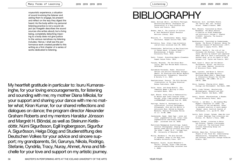voyeuristic experience, a situation of sound involving the listener and asking them to engage, be present and reflect on the way they digest the heard. As the body within my personal listening practice is not a sound object (as Voegelin describes the sound sources she writes about), but a living being, completely detaching meaning to a body does not give justice to the various narratives my listening includes. Hence, I shall see the performance work created parallel to this writing as a first chapter of a series of works dedicated to listening.

My heartfelt gratitude in particular to: Isuru Kumarasinghe, for your loving encouragements, for listening and sounding with me; my mother Diana Mikolai, for your support and sharing your dance with me no matter what; Kiran Kumar, for our shared reflections and dialogues on dance; the program director Alexander Graham Roberts and my mentors Haraldur Jónsson and Margrét H. Blöndal, as well as Steinunn Ketilsdóttir, Númi Sigurðsson, Egill Ingibergsson, Sigurður A. Sigurðsson, Helga Dögg and Studienstiftung des Deutschen Volkes for your advice and sincere support; my grandparents, Sri, Garunya, Nikola, Rodrigo, Stefanie, Oyndrila, Tracy, Nuray, Ahmet, Anna and Michelle for your love and support on my artistic journey.

# BIBLIOGRAPHY

Listening

- Adams, William (Bill), and Martin Mulligan. Decolonizing Nature: Strategies for Conservation in a Post-Colonial Era. Taylor and Francis, 2012.
- Bhabha, Homi K. The Location of Culture. W. Ross MacDonald School Resource Services Library, 2012.
- Bharucha, R. . Chandralekha: Woman, dance, resistance. Harper Collins Publ, 1997.
- Britannica. Rasa. https://www.britannica. com/art/rasa (accessed June 20, 2020).
- Chandralekha. Reflections on New Directions in Indian Dance, in Davesh Soneji's Bharatanatyam, A Reader. Oxford University Press, 2010.
- Doshi, Tishani. Everything Begins Elsewhere. Copper Canyon Press, 2013.
- Fukuoka, Masanobu. The One-Straw Revolution. New York Review Books Classics, 1978/2010.
- Gaztambide-Fernández, Rubén. Decolonial Options and Artistic/AestheSic Entanglements: An Interview with Walter Mignolo. Decolonization: Indigeneity, Education & Society 3 (1), 2014.
- Gopalakrishnan, Paravur. The Gita Govinda, (translation) as The Song Celestial. Sanbun Publishers, 2008.
- Gulan, Varun, and Anoop Mythili. Contemporary Women´s Writing in India. Lexington Books, 2014.
- Gupt, Bharat. Hindu View on Homosexuality: Dr Bharat Gupt India Inspires Views. Youtube. https://www.youtube.com/watch? v=x8V6WzO0qeM (accessed June 24, 2020)
- Hastings, Rachel N. Performative Decolonization: Critical Performance Ethnography, Rize and the Battle to Articulate Race. Edited by Eduardo Mendieta. Radical Philosophy Review 12 (1): 41–60, 2009.
- Janakananda, Swami. Nada Yoga outer and inner. yogameditation.com. https://www. yogameditation.com/reading-room/nadayoga/ (accessed June 19, 2020)
- Mantillake Madamperum Arachchilage, Sudesh. Colonial Choreography: Staging Sri Lankan Dancers Under British Colonial Rule From The 1870s – 1930s. Ph.D., College Park, MD.: University of Maryland, 2018.
- Miller, Barabara S. The Gita Govinda of Jeyadeva: Songs of the Dark Lord. Columbia University Press, 1977.
- Mohapatra, Sujata. Sujata Mohapatra´s Pallavi. Youtube. https://www.youtube. com/watch?v=Oqj3Yhif0ag (accessed June 1, 2020)
- Mookerjee, Ajit, and Madhu Khanna. The Tantric Way: Art, Science Ritual. Thames & Hudson, 2003.
- Muni, Bharata. Translated by Ghosh, Manomohan. The Natya Shastra. A treatise on Hindu Dramaturgy and Histrionics (Volume I: Chapter I-XXVII). Calcutta, The Asiatic. Society, 1950.
- Nandikesvarar. Translated by Coomaraswamy, Ananda. The Mirror Of Gesture: Being The Abhinaya Darpana Of Nandikesvara (1917). Kissinger´s Legacy Prints, 2010.
- Phillpotts, Bertha S. The Life of the Icelander Jón Ólafsson, Traveller to India, Written by himself and completed about 1661 A.D: With a continuation, by another hand, up to his Death in 1679. Volumes I-II. Taylor and Francis, 2017.
- Reed, Susan A. Dance and the Nation: Performance, Ritual, and Politics in Sri Lanka. Madison: University of Wisconsin Press, 2010.
- Seda, Laurietz, and Brian D. Patrick. Decolonizing the Body Politics: Guillermo Gómez-Peña's 'Mapa/Corpo 2: Interactive Rituals for the New Millennium.' TDR (1988-) 53 (1): 136–41, 2009.
- Shiva, Vandana. Staying Alive: Women, Ecology and Development. Zed Books, 1989.
- Smith, Linda Tuhiwai. Decolonizing Methodologies: Research and Indigenous Peoples. Zed Books, 1999.
- Soneji, Davesh. Bharatanatyam, A Reader. Oxford University Press, 2012.
- Tsitsou, L. and Weir, L. Re-reading Mary Wigman's Hexentanz II (1926): the influence of the non-Western 'Other' on movement practice in early modern 'German' dance. Scottish Journal of Performance, 1(1), pp.53–74. 2013
- Vanita, Ruth, Kirwai, Saleem, Same-Sex Love in India. Readings from Literature and History. St. Martin's Press, 2000.
- Voegelin, Salomé. Listening to Noise and Silence; Towards a philosophy of sound art. The Continuum International Publishing Group Ltd. London, 2010.
- Wilhelm, Amara Das. Tritiya-Prakriti: People of the Third Sex: Understanding Homosexuality, Transgender Identity, and Intersex Conditions through Hinduism. Xlibris, 2017.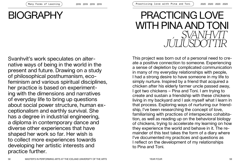# BIOGRAPHY

# PRACTICING LOVE WITH PINA AND TONI *SVANHVÍT JÚLÍUSDÓTTIR*

Svanhvít's work speculates on alternative ways of being in the world in the present and future. Drawing on a study of philosophical posthumanism, ecofeminism and various spiritual disciplines, her practice is based on experimenting with the dimensions and narratives of everyday life to bring up questions about social power structure, human exceptionalism and earthly survival. She has a degree in industrial engineering, a diploma in contemporary dance and diverse other experiences that have shaped her work so far. Her wish is to collect more experiences towards developing her artistic interests and practice further.

This project was born out of a personal need to create a positive connection to someone. Experiencing a sense of depletion by complicated communication in many of my everyday relationships with people, I had a strong desire to have someone in my life to simply nurture. Inspired by a friend that acquired a chicken after his elderly farmer uncle passed away, I got two chickens – Pina and Toni. I am trying to create and sustain a friendship with these chickens living in my backyard and I ask myself what I learn in that process. Exploring ways of nurturing our friendship, I've been researching the concept of love, familiarising with practices of interspecies cohabitation, as well as reading up on the behavioral biology of chickens, trying to accelerate my learning on how they experience the world and behave in it. The remainder of this text takes the form of a diary where I've documented my practices and questions as I reflect on the development of my relationships to Pina and Toni.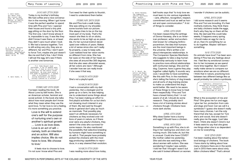Today is my brother's birthday. We had coffee and a nice conversation in the morning. When I got home

*JANUARY 27TH 2020*

1. bell hooks, All about love: New visions (New York, NY: William Morrow, an imprint of HarperCollins, 2018), 4-5.

2. C. Nicol. Sensory Biology in The behavioural biology of chickens, (Wallingford, Oxfordshire, MA: CABI, 2015), 15-19.

it was the perfect weather to spend time with Pina and Toni. I opened their house and found a tiny pink egg sitting on the door by the floor. The first one. I don't know whose it is, impossible to say. It was like they didn't know it was there, or at least they didn't care much when I took it. We had a banana together, Toni is still acting very shy, they are so different, her and Pina. I don't want to force Toni, maybe she just doesn't like me and that's fine. I don't think I will eat the egg, let's see if there is another one tomorrow.

P.S. Kobe Bryant died yesterday, a lot of people were very sad. I read an article that said that he had really loved basketball. He even once wrote a love poem to basketball. I wonder what is different in really loving basketball and really loving a person or a chicken.

3. bell hooks, 5.

*FEBRUARY 15TH 2020*

I've been reading this book, All About Love by bell hooks. She is an American scholar, feminist and social activist. In the book she talks about how most people don't know what they mean when they use the word love. To her love is not a feeling, it's more something you practice.

Love is the will to extend one's self for the purpose of nurturing one's own or another's spiritual growth … Love is as love does. Love is an act of will namely, both an intention and an action. Will also implies choice. We do not have to love. We choose to love.<sup>1</sup>

It feels nice to choose to love. I'm not sure I know what Pina and

Toni need for their spirits to flourish, I need to understand them better.

*FEBRUARY 26TH 2020*

Me and Pina took a walk today. She was sitting on my shoulder, some tourists took our picture. She always tries to be on the top most part of my body. That's the reason she likes to sit on sticks, she wants to be as high up as possible, it's her survival instinct developed over millions of years. Makes a lot of sense since she can't really fly properly, a way to keep safe. I just realised how her vision works so different from mine. She has her eyes on the side of her head, so she sees all around like 300 degrees. And she also sees ultraviolet waves, all her colors are neon.<sup>2</sup> Although I wonder how we can really know if she sees it that way.

*MARCH 14TH 2020* She's not a playful spirit.

*MARCH 16TH 2020*

I had a conversation with my dad yesterday. He's a biologist and he grew up on a farm, he was helping me to understand some things about Pina. I've been making an effort to find playful activities for us but she's not showing much interest in any of them. My dad said he thought birds in general don't play as much as mammals. That possibly play wasn't an attribute necessary for chickens as they evolved over millions of years in nature, so if there ever were any playful chickens, they weren't the ones who survived for some reason. He also mentioned the possibility that selective breeding by humans might have something to do with it. That people have probably picked the chickens with the most egg producing capabilities to reproduce, in a way steered their evolution.

*MARCH 17TH 2020* I was reading more about love today,

2019 2019 2019 2019 2020 2020 2020 2020 Practicing love with Pina and Toni

4. Donna Haraway, The companion species manifesto: Dogs, people, and significant otherness (Chicago, Illinois: Prickly Paradigm Press, 2015), 205.

5. "Symbiosis | Definition Of Symbiosis By Oxford Dictionary On Lexico.Com Also Meaning Of Symbiosis", Lexico Dictionaries | English, 2020, https://www.lexico. com/en/definition/ symbiosis.

6. C. Nicol, Genetics and Domestication. In The behavioural biology of chickens, (Wall ingford, Oxfordshire, MA: CABI, 2015), 1.

7. bell hooks., 87.

bell hooks says that "to truly love we must learn to mix various ingredients - care, affection, recognition, respect, commitment and trust as well as honest and open communication."3 A lot of things to consider.

#### *APRIL 12TH 2020*

I've been researching the writings of Donna Haraway, she is an American professor, writer and ecofeminist known for critiquing Anthropocentrism, the idea that humans are the most important beings in the universe. She's written a lot about interspecies relationships. In The Companion Species Manifesto she suggests to take a dog-human relationship seriously to learn how to practice more ethical relationships with nonhuman beings. She and her dog, Cayenne, have a game they play together called Agility. It sounds very cool, I would like to have something like this with Pina. In the manifesto she's telling the history of dog breeds and all sorts of dog training stories to make us understand the dog's world better. We need to be aware of these things to know how to treat them respectfully.<sup>4</sup> Pina and Toni have a breed history that I´m not aware of at all, I should do some research. They probably don't have a lot of training stories about chickens though. Chickens have more dark stories.

#### *APRIL 13TH 2020*

Why does Easter have a bunny and eggs? Should have a chicken.

#### *APRIL 19TH 2020*

Something is up with Pina, she is sitting in her nesting box and she's not moving much. She looks ok, but this is unusual. Could she have COVID? My mother called me yesterday. She said she was watching a film about women with autism. She was wondering if maybe I was autistic. I told her that I thought I wasn't but she said it looked different on women. I wonder if chickens can be autistic.

#### *APRIL 20TH 2020*

I did some research and it seems Pina and Toni are brooding. It's their motherly instincts, they think there are baby chickens inside the eggs, that's why they lay on them all the time. My dad said this could take weeks, it happens every spring. I should make an egg for me to sit on, then it's something for us to do together. Maybe I will learn something.

#### *MAY 17TH 2020*

Do animals have love? I've been wondering if Pina has any feelings about me. I feel like my emotional connection to her increases as we spend more time together. But it doesn't really make sense to compare our emotions when we are so different. I think that in nature, practicing love between two different beings like us would probably be called a symbiosis.

> Symbiosis: Interaction between two different organisms living in close physical association, typically to the advantage of both.<sup>5</sup>

What is the ecosystem of me and Pina? She gives me fun and eggs. I give her fun, protection from cats and dogs and food. Can we call it a symbiosis? I quess she doesn't really have many choices. I am the only friend that she has, except for Toni she's anti-social. And she doesn't really give me the eggs, I just take them. I think she doesn't mind it, but it feels weird to say that she gives me things when she is so dependent on me for everything.

#### *MAY 22ND 2020*

I've been reading about the behavioral biology of chickens. The book I have starts by talking about how many chickens there are in the world. Just in 2013 there were about sixty billion chickens killed.<sup>6</sup> That's almost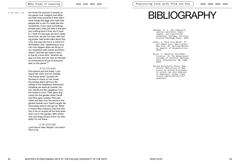# **BIBLIOGRAPHY**

Haraway, D. J. The companion species manifesto: Dogs, people, and significant otherness. Chicago, Illinois: Prickly Paradigm Press, 2015.

hooks, b. Give Love Words. In All about love: New visions. New York, NY: William Morrow, an imprint of HarperCollins, 2018.

Nicol, C. Genetics and Domes tication. In The behavioural *biology of chicken*s. Wallingford, Oxfordshire, MA: CABI, 2015.

Oxford University Press. Sym biosis: Definition of Sym biosis by Oxford Dictionary on Lexico.com also meaning of Symbiosis. https://www. lexico.com/en/definition/ symbiosis

8. bell hooks., 88.

ten times the amount of people on the planet now. Imagine how differ ent their lives would be if they didn't have things like eggs and meat that people like to eat. It's really like this sometimes, if you have something people want, they just take it and give you nothing back if they don't have to. I think it's because we don't really know love, we are too busy with hav ing power. bell hooks talks about this a lot, she says we live in a culture of domination, that "awakening to love can only happen when we let go of our obsession with power and domi nation" 7 and that we need to learn to live by a love ethic "wherein we see our lives and our fate as intimate ly connected to those of everyone else on the planet". 8

#### *JUNE 5TH 2020*

Pina almost got lost today, I just heard her cluck and ran outside. The thump when I jumped off the bed to check on her made the smoke alarm fall from the ceiling of the neighbour downstairs. Suddenly we were all outside, me, him, Davíð and the neighbour from the house in front. Their giant dog came into the garden when Davíð and Pina were outside. Pina panicked and flew over the fence to the garden beside ours. Davíð caught her fortunately before she got far. What a chaos! Was stressful. Sad that she has to be so scared all the time when she's out in the garden. With all the cats and dogs around she's not safe when I'm not there.

#### *JUNE 12TH 2020*

I just had an idea. Maybe I can teach Pina to fly.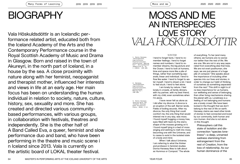# **BIOGRAPHY**

Vala Höskuldsdóttir is an Icelandic performance related artist, educated both from the Iceland Academy of the Arts and the Contemporary Performance course in the Royal Scottish Academy of Music and Drama in Glasgow. Born and raised in the town of Akureyri, in the north part of Iceland, in a house by the sea. A close proximity with nature along with her feminist, neopaganist and therapist mother, influenced her interests and views in life at an early age. Her main focus has been on understanding the human individual in relation to society, nature, culture, history, sex, sexuality and more. She has created and directed various communitybased performances, with various groups, in collaboration with festivals, theatres and independently. She is the other half of A Band Called Eva, a queer, feminist and slow performance duo and band, who have been performing in the theatre and music scene i n Iceland since 2013. Vala is currently on the artistic board of LOKAL theater festival.

# MOSS AND ME AN INTERSPECIES LQVE STORY

#### *WINTER*

1. Donna Haraway, "Anthropocene, Capitalocene, Plantationocene, Chthulucene: Making Kin", Environmental *Humanities* 6, no.<br>1 (2015): 159-165.

2. Haraway, "Anthropocene, Capitalocene, Plantationocene, Chthulucene: Making Kin": 159-165.

3. Donna Haraway, Staying With The *Trouble* (Durham:<br>Duke University Press, 2016), 1-12. I tend to forget facts. I tend to remember feelings. I tend to forget names and numbers. I tend to remember dreams, the big picture and the Ocean. I tend to look at humans, time and space more like a pile of things, rather than something separate, linear and individual. I tend to flow like water. I tend to forget to water myself. I tend to dream a lot. I tend to feel stuck. I tend to feel alone.

I am lonely by nature. I feel lonely in crowds, at family dinners, with my partner, with my best friend, with my child, even sometimes when I'm alone.

I have never felt as alone as I did after my divorce. A divorce is an eruption of the self. Barren lands. Fields of boiling wounds. After my divorce, the only thing that could comfort me, the only thing that would interest me in any way, was moss. I found myself hugging a mossy tree, eyes filled with tears by the starry shape of the mosses growing on it. I found myself lying in a bed of moss singing and wishing to melt into moss, becoming one with the Universe, and to cease to exist in the isolated state of a body and mind.

When I talk about Universe, I am referring to what the thinker and professor in feminist studies Donna Haraway likes to talk about as Hummus or Compost.<sup>1</sup> The whole of everything. To her (and many others), we humans are no worse nor better than the rest of life. We are one. We are not in any way separated from everything else that lives. We are not even posthuman, she says, we are just pieces of a huge pile of compost.<sup>2</sup> She speaks about the importance of including other species into our lives and stories, in order to change our habit of thinking of ourselves as something separated from the rest.<sup>3</sup> This shift in sight is of no less importance for us humans, our wellbeing and sense of belonging, than other living mechanisms sharing the planet with us. Loneliness is a feeling of not belonging and humans are a lonely crowd. We have been locked in the thought that we don't belong to the rest of life on earth. Haraway claims we need other kinds of stories to feel connected and loved by our community, both human and non-human. And she is not alone in this thought.

Philosophers call this state of isolation and disconnection "species loneliness"—a deep, unnamed sadness stemming from estrangement from the rest of Creation, from the loss of relationship. As our human dominance of the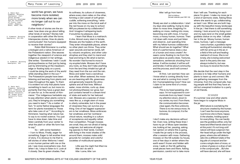4. Robin Wall Kimmerer, Braiding Sweetgrass: Indi genous Wisdom, Scientific Knowledge And The Teachings Of Plants (repr., London: Penguin Books, 2020), 259.

5. Kimmerer, Braiding Sweetgrass, 221-222.

6. Kimmerer, Braiding Sweetgrass, 342.

7. Kimmerer, Braiding Sweetgrass, 284

8. Robin Wall Kimmerer, Gathering Moss: A Natural And Cultural History Of Mosses (Corvallis, OR: Oregon State University Press, 2013).

world has grown, we have become more isolated, more lonely when we can no longer call out to our neighbors. 4

If other kinds of stories are the an swer, how does one go about telling other kinds of stories? Stories told in cooperation with other life forms. Interspecies stories. How do plants communicate? Are humans equipped to receive their stories?

Robin Wall Kimmerer is a writer, a biologist and a native American of the Potawatomi nation. She weaves together the viewpoint of science and indigenous wisdom in her writings. She writes: "Sometimes I wish I could photosynthesize so that just by being, just by shimmering at the meadow's edge or floating lazily on a pond, I could be doing the work of the world while standing silent in the sun." 5 The Potawatomi people have been listening and learning from plants and trees throughout the ages. To them it is evident not only that plants have something to teach us, but more im portantly that they have a great deal of care for us. In the words of Kim merer: "Our indigenous herbalists say to pay attention when plants come to you; they're bringing you something you need to learn." 6 As a matter of fact, "in some Native languages the term for plants translates to 'those who take care of us'." 7 According to Kimmerer, hearing what nature has to say is no rocket science. You just have to slow down, take time and listen carefully from your center to what the plant or other life form has to say. 8

So – with some hesitation – I turn to Moss. Finally, eager for something. Eager to tell another kind of story. It is obvious to me that to tell stories of other lifeforms I need a non-human partner with me on the job. I see moss everywhere now. And when I do, I stop to listen to it. Look at it closely. See its green shades. Feel

its softness, its culture of closeness, where every stem relies on the other, forming a vast carpet of soft green cuddle, softening everything. I whis per into the moss on the brick wall of the red house on my way to school: *Will you please be my collaborator?* And I imagine it whispering back: *It would be my pleasure, dear*.

I learn that Moss is a matriarch. A she. Almost every stem is female. Mosses are the healers of the earth. They enter inhospitable places, where no other plant can thrive. They enter open wounds and barren lands, left by volcanic eruptions, and other cata strophes and they start to mend and heal and bring to life what is barren. *No wonder I had turned to moss in my erupted state*. Mosses don't have any roots, so they don't take anything from the land they inhabit but get all they need from the sun and the rain. Moss and water have a wondrous love affair. When watered, the moss es are beaming with life, greenness and generosity towards the atmo sphere and all that lives. Without water, moss shrinks, curls up, does not photosynthesize nor grow, but just contains herself in a dream kind of state and waits for her beloved rain. Mosses are a species of close ness like us, a single stem of moss is utterly vulnerable, but in the power of closeness they can survive any thing. One of her biggest superpow ers is her smallness. Moss embraces her smallness and her nonhierar chical nature, resulting in a culture of acceptance and equality rather than competition. Though mosses are small, they are not afraid of being outgrown, but welcome all migrat ing species to their lands. Content with living in the moist shades of life around them, mosses make solid grounds for complex and colorful societies of multicultural species.

> Little was the might that lifted me little did I do with it little I came, little I am

#### little I will go from here Ólöf frá Hlöðum (female Icelandic poet 1857-33)

Slowly we start a collaboration. I start my days slow walking, trying to slow down to moss time, imagining I'm walking on moss, melting into moss, becoming one with moss. A human moss, a mossy human, *humoss*. Then I sit down with moss and just listen and observe. Just spending time with my fellow humoss collaborator. What should we do together? What kind of a performance does a duo of a human and moss create? An swers come floating to me from the same place as poetry does. Textures, sensations, sentences shooting from below. *It will be modest, it will be soft and tender, it will be about community, and the process, and it will connect species.*

At first, I am worried. How can I know what is coming directly from me and what is coming from moss? Am I humansplaining moss? How can I claim to be some kind of a moss medium?

> *This is my head speaking, she says. I'm not supposed to com municate from my head. I lower my attention down, down to my center, my root. From there, the communication becomes clear again, the flow unblocks. There is no me versus moss. Its humoss, its compost, it is the Universe.*

I don't make any decisions without her. Even now, writing these lines I have my jar of Moss open besides me, looking at her, pausing, asking her opinion on where this is going. I made the jar early in the process, after a session with moss. Gathering mosses on the hill outside my house, one of few days in winter where the earth wasn't frozen and hidden with snow. I walk on the hill, gathering small pieces here and there. Asking permission, careful not to take more

than I will use. Thanking for each piece I'm given. I make my moss jar in a kind of sermonic state. Asking Moss where she wants to go, collaborating as best I can. When we are both hap py with the beautiful mossy landscape in the jar, I feel there is still something missing. I look around my living room and my eyes land on the small golden goddess statue on my altar. I situate her in the jar. Mossy human, human moss, humoss. I get a message:

> *I see a human, a goddess repre senting all humankind, standing with her arms up in the air, in a field of the soft and healing matriarch of moss. She is not lonely, she is being welcomed back to the party she was always invited to, but was too busy to receive the invite*.

We decide that the next step in the process is to help other humans and plants to team up and connect. We are gathering messages from the Universe, from the compost pile, hop ing people will find that they have an old but unexpired invitation to a party of old friends.

#### *SUMMER*

It's summer now and other plants have begun to outgrow Moss in the jar.

> *Wild nature is overtaking the structure created by the human. I can't see the moss anymore, I just know she is there, happy in the shades, holding space for everything. You can hardly see the goddess either, only her head and lifted hands stand out at this point. It's not long until nature will have outgrown her. Her head will go under the high grass, where she will deterio rate into a different state of the big pile of compost and be come a single stem of moss, or a straw of grass or a drop of rain in the compost pile ... But she will have danced, she will have*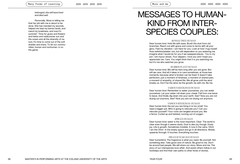*belonged, she will have lived and died well.*

Personally, Moss is telling me that her job with me is about to be done. She has mended my wounds, helped me heal my barren lands, and mend my loneliness, and now it's summer! Time for grass and flowers and herbs and midsummer sun and the ocean and all the diversity of na ture. It's time to come out of the soft shades and share. To let our commu nities, human and nonhuman, in on the game.

### MESSAGES TO HUMAN-KIND FROM INTER-SPECIES COUPLES:

Moss and me

#### *BONSAI TREE/HUMAN*

Dear human kind. Hold life with ease. Brush the dust from old branches. Reach out with grace and come to terms with all your glory. Feel my vibration. I am here for you. Look at how I hug myself. How selfstimulatable I am, but still dependent on you watering me. Imagine what I would do for you if we swapped places. You in my pot. I am inyour shoes. Your slippers. I love you and I hope you appreciate me. Care. You might think that it is you watching me, but it's me who watches you grow.

#### *RUBBER PLANT/HUMAN*

Dear human kind. We will be here long after you are gone. But still we care. And all it takes is to care sometimes, at those kee moments, because what is broken can be fixed. It doesn't take perfection, just a moment of kindness, a moment of shared pain, a moment of empathy, of shared life. We all grow until the wind breaks us. Don't be the wind, be the growth, be with me. Be me.

#### *VARIOUS SEEDLINGS/HUMAN*

Dear human kind. Remember to water yourselves, you can water yourselves. Let your water roll down your cheek. Fall from one leave to leave. And finally dig down into your earth. See? Now you are not drying out anymore, See? Now you are not drying out anymore.

#### *VARIOUS SEEDLINGS/ HUMAN*

Dear human kind, the pot you are living in is too small. You need a bigger pot. Who is going to relocate you? Can you relocate yourself? Your roots are tangled around you, like a fence. Curled up and twisted, running out of oxygen.

#### *SPRUCE/HUMAN*

Dear human kind: water is the most important. Clear. The world is clear even though it seems dusty. Dust is also joy though. Dusty joy. Life is growth. Sometimes invisible. It runs in the veins. Ohm! I am the Ohm! In the empty space and go in all directions. Mostly upwards through. It touches. Everything touches.

#### *PRUCE/8 YEAR OLD HUMAN*

Dear humankind. The fragrance is what you need. Be yourself. Not something else. Take good care of nature. Be good to me. Don't be around bad people. We will share our story. Moss and me. The story of our interspecies love-affair. And assist others follow in our footsteps and find their own paths to other kinds of stories.